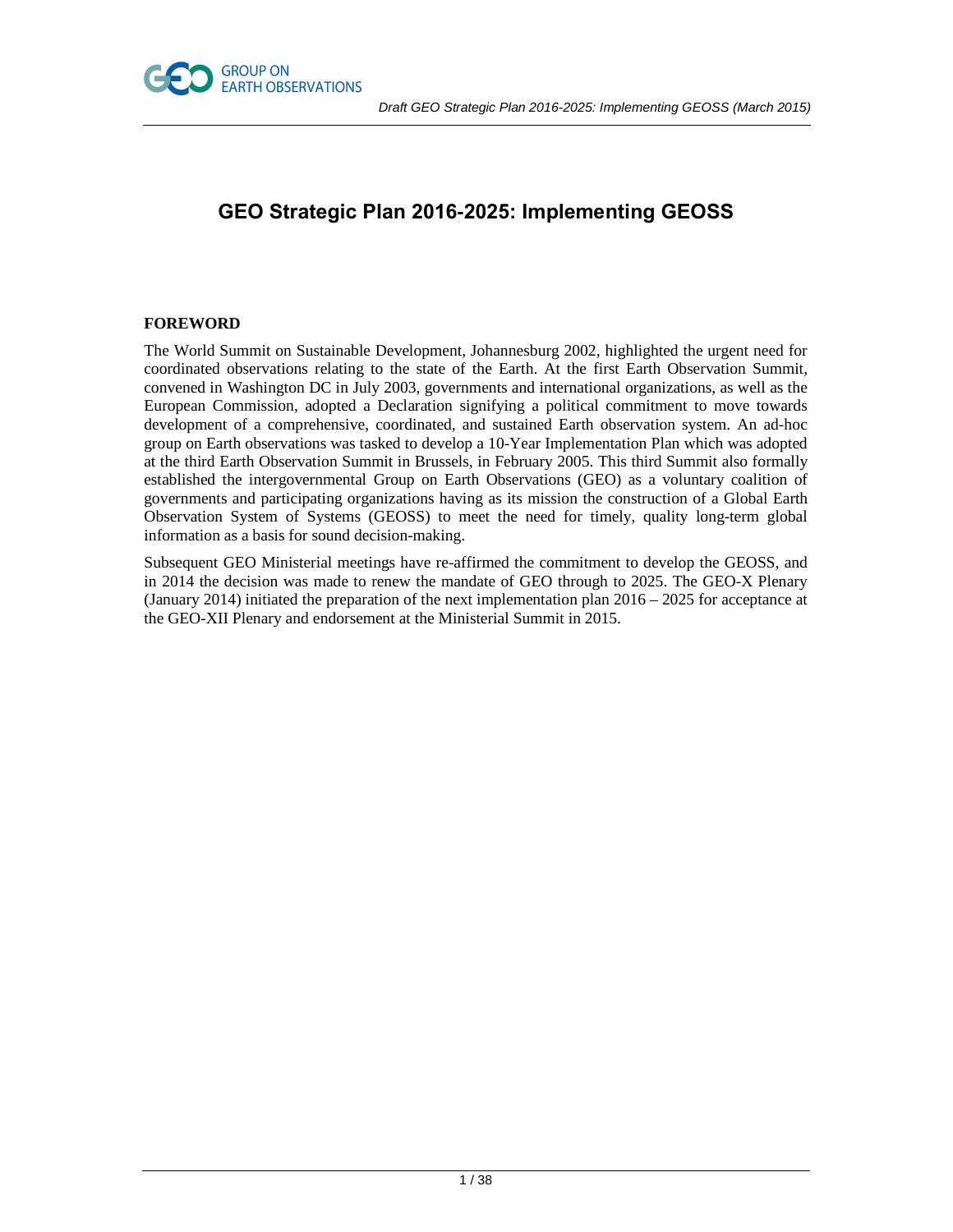



# **GEO Strategic Plan 2016-2025: Implementing GEOSS**

# **FOREWORD**

The World Summit on Sustainable Development, Johannesburg 2002, highlighted the urgent need for coordinated observations relating to the state of the Earth. At the first Earth Observation Summit, convened in Washington DC in July 2003, governments and international organizations, as well as the European Commission, adopted a Declaration signifying a political commitment to move towards development of a comprehensive, coordinated, and sustained Earth observation system. An ad-hoc group on Earth observations was tasked to develop a 10-Year Implementation Plan which was adopted at the third Earth Observation Summit in Brussels, in February 2005. This third Summit also formally established the intergovernmental Group on Earth Observations (GEO) as a voluntary coalition of governments and participating organizations having as its mission the construction of a Global Earth Observation System of Systems (GEOSS) to meet the need for timely, quality long-term global information as a basis for sound decision-making.

Subsequent GEO Ministerial meetings have re-affirmed the commitment to develop the GEOSS, and in 2014 the decision was made to renew the mandate of GEO through to 2025. The GEO-X Plenary (January 2014) initiated the preparation of the next implementation plan 2016 – 2025 for acceptance at the GEO-XII Plenary and endorsement at the Ministerial Summit in 2015.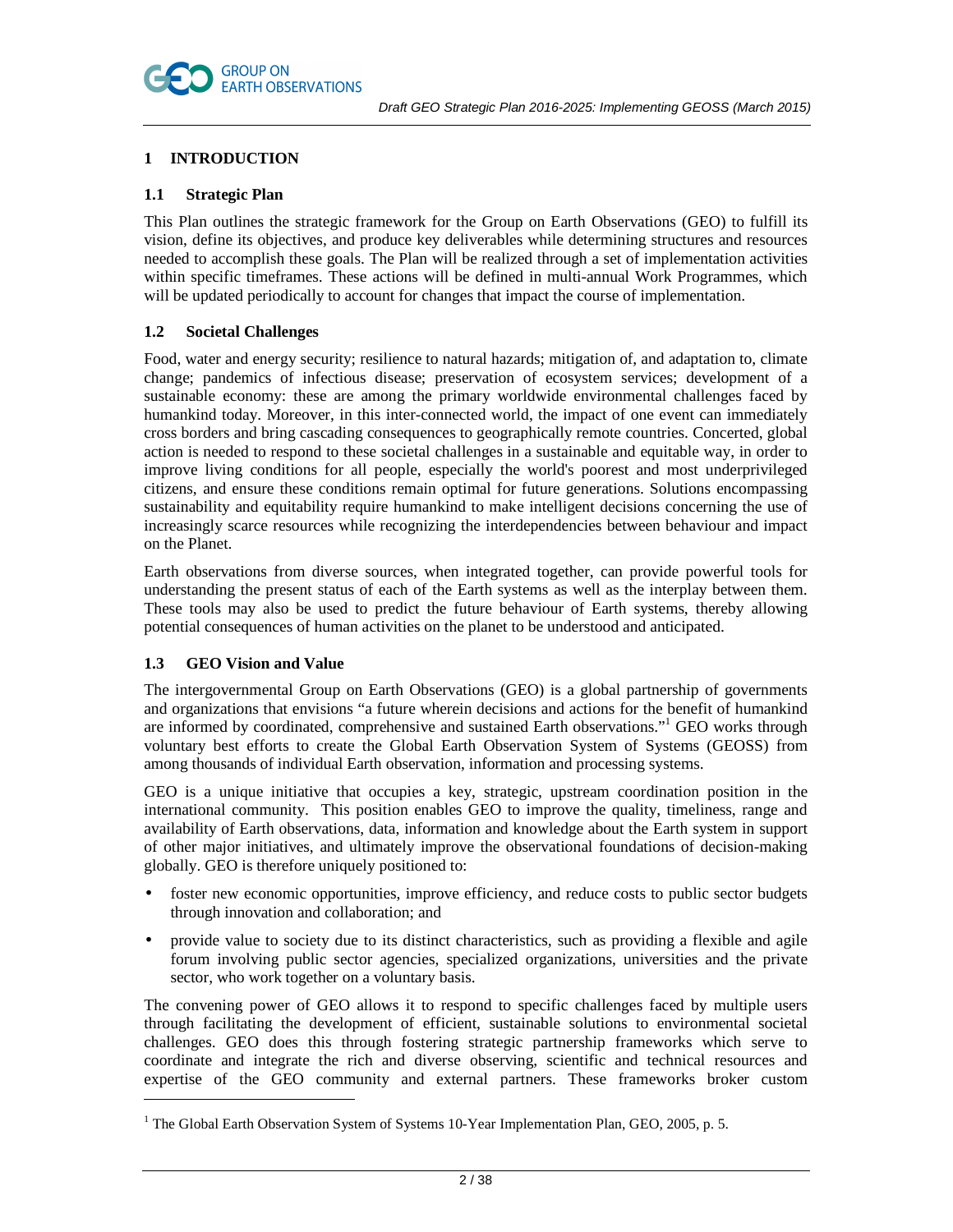

# **1 INTRODUCTION**

# **1.1 Strategic Plan**

This Plan outlines the strategic framework for the Group on Earth Observations (GEO) to fulfill its vision, define its objectives, and produce key deliverables while determining structures and resources needed to accomplish these goals. The Plan will be realized through a set of implementation activities within specific timeframes. These actions will be defined in multi-annual Work Programmes, which will be updated periodically to account for changes that impact the course of implementation.

# **1.2 Societal Challenges**

Food, water and energy security; resilience to natural hazards; mitigation of, and adaptation to, climate change; pandemics of infectious disease; preservation of ecosystem services; development of a sustainable economy: these are among the primary worldwide environmental challenges faced by humankind today. Moreover, in this inter-connected world, the impact of one event can immediately cross borders and bring cascading consequences to geographically remote countries. Concerted, global action is needed to respond to these societal challenges in a sustainable and equitable way, in order to improve living conditions for all people, especially the world's poorest and most underprivileged citizens, and ensure these conditions remain optimal for future generations. Solutions encompassing sustainability and equitability require humankind to make intelligent decisions concerning the use of increasingly scarce resources while recognizing the interdependencies between behaviour and impact on the Planet.

Earth observations from diverse sources, when integrated together, can provide powerful tools for understanding the present status of each of the Earth systems as well as the interplay between them. These tools may also be used to predict the future behaviour of Earth systems, thereby allowing potential consequences of human activities on the planet to be understood and anticipated.

# **1.3 GEO Vision and Value**

 $\overline{a}$ 

The intergovernmental Group on Earth Observations (GEO) is a global partnership of governments and organizations that envisions "a future wherein decisions and actions for the benefit of humankind are informed by coordinated, comprehensive and sustained Earth observations."<sup>1</sup> GEO works through voluntary best efforts to create the Global Earth Observation System of Systems (GEOSS) from among thousands of individual Earth observation, information and processing systems.

GEO is a unique initiative that occupies a key, strategic, upstream coordination position in the international community. This position enables GEO to improve the quality, timeliness, range and availability of Earth observations, data, information and knowledge about the Earth system in support of other major initiatives, and ultimately improve the observational foundations of decision-making globally. GEO is therefore uniquely positioned to:

- foster new economic opportunities, improve efficiency, and reduce costs to public sector budgets through innovation and collaboration; and
- provide value to society due to its distinct characteristics, such as providing a flexible and agile forum involving public sector agencies, specialized organizations, universities and the private sector, who work together on a voluntary basis.

The convening power of GEO allows it to respond to specific challenges faced by multiple users through facilitating the development of efficient, sustainable solutions to environmental societal challenges. GEO does this through fostering strategic partnership frameworks which serve to coordinate and integrate the rich and diverse observing, scientific and technical resources and expertise of the GEO community and external partners. These frameworks broker custom

<sup>&</sup>lt;sup>1</sup> The Global Earth Observation System of Systems 10-Year Implementation Plan, GEO, 2005, p. 5.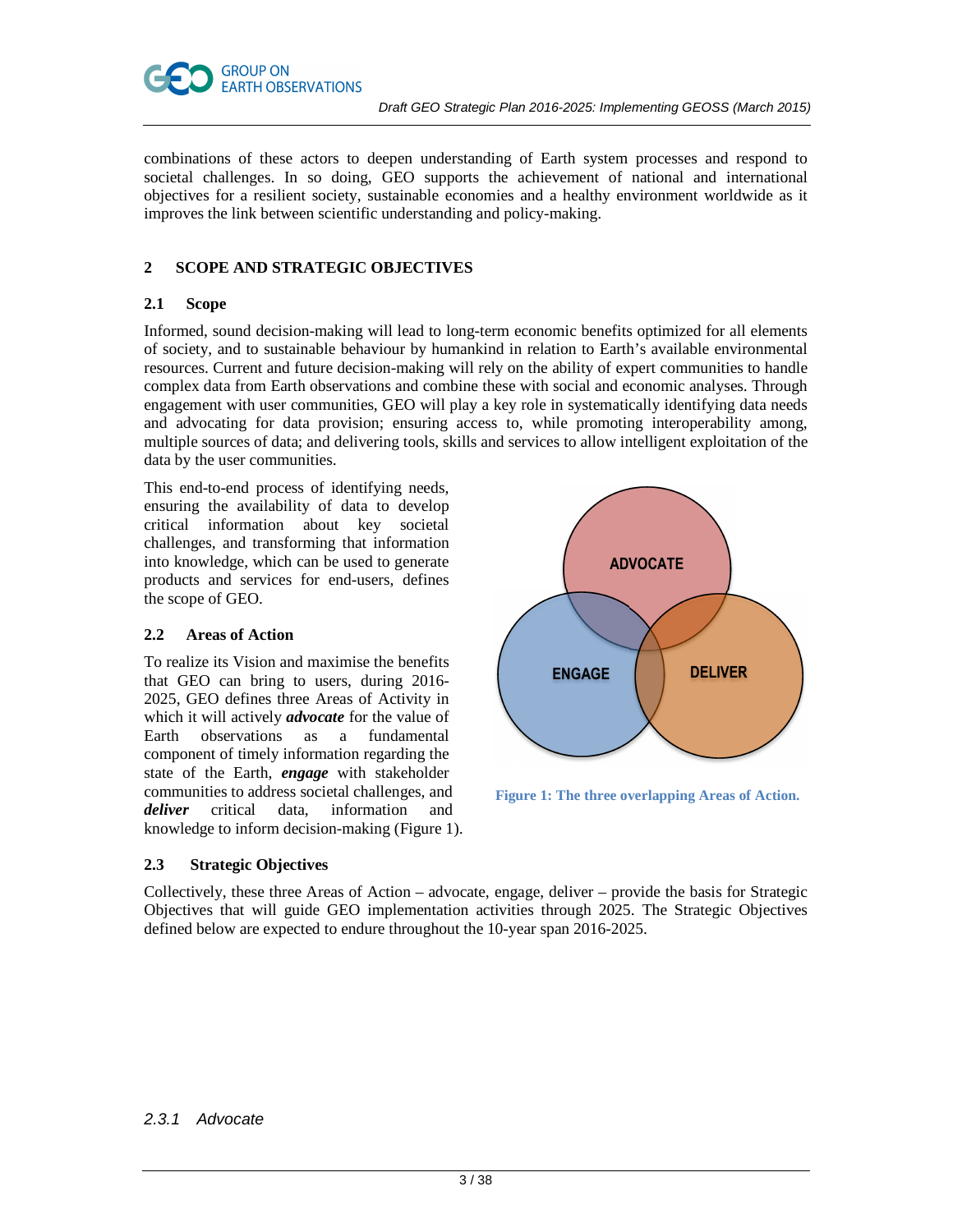

combinations of these actors to deepen understanding of Earth system processes and respond to societal challenges. In so doing, GEO supports the achievement of national and international objectives for a resilient society, sustainable economies and a healthy environment worldwide as it improves the link between scientific understanding and policy-making.

# **2 SCOPE AND STRATEGIC OBJECTIVES**

# **2.1 Scope**

Informed, sound decision-making will lead to long-term economic benefits optimized for all elements of society, and to sustainable behaviour by humankind in relation to Earth's available environmental resources. Current and future decision-making will rely on the ability of expert communities to handle complex data from Earth observations and combine these with social and economic analyses. Through engagement with user communities, GEO will play a key role in systematically identifying data needs and advocating for data provision; ensuring access to, while promoting interoperability among, multiple sources of data; and delivering tools, skills and services to allow intelligent exploitation of the data by the user communities.

This end-to-end process of identifying needs, ensuring the availability of data to develop critical information about key societal challenges, and transforming that information into knowledge, which can be used to generate products and services for end-users, defines the scope of GEO.

#### **2.2 Areas of Action**

To realize its Vision and maximise the benefits that GEO can bring to users, during 2016- 2025, GEO defines three Areas of Activity in which it will actively *advocate* for the value of Earth observations as a fundamental component of timely information regarding the state of the Earth, *engage* with stakeholder communities to address societal challenges, and *deliver* critical data, information and knowledge to inform decision-making (Figure 1).



 **Figure 1: The three overlapping Areas of Action.** 

# **2.3 Strategic Objectives**

Collectively, these three Areas of Action – advocate, engage, deliver – provide the basis for Strategic Objectives that will guide GEO implementation activities through 2025. The Strategic Objectives defined below are expected to endure throughout the 10-year span 2016-2025.

# 2.3.1 Advocate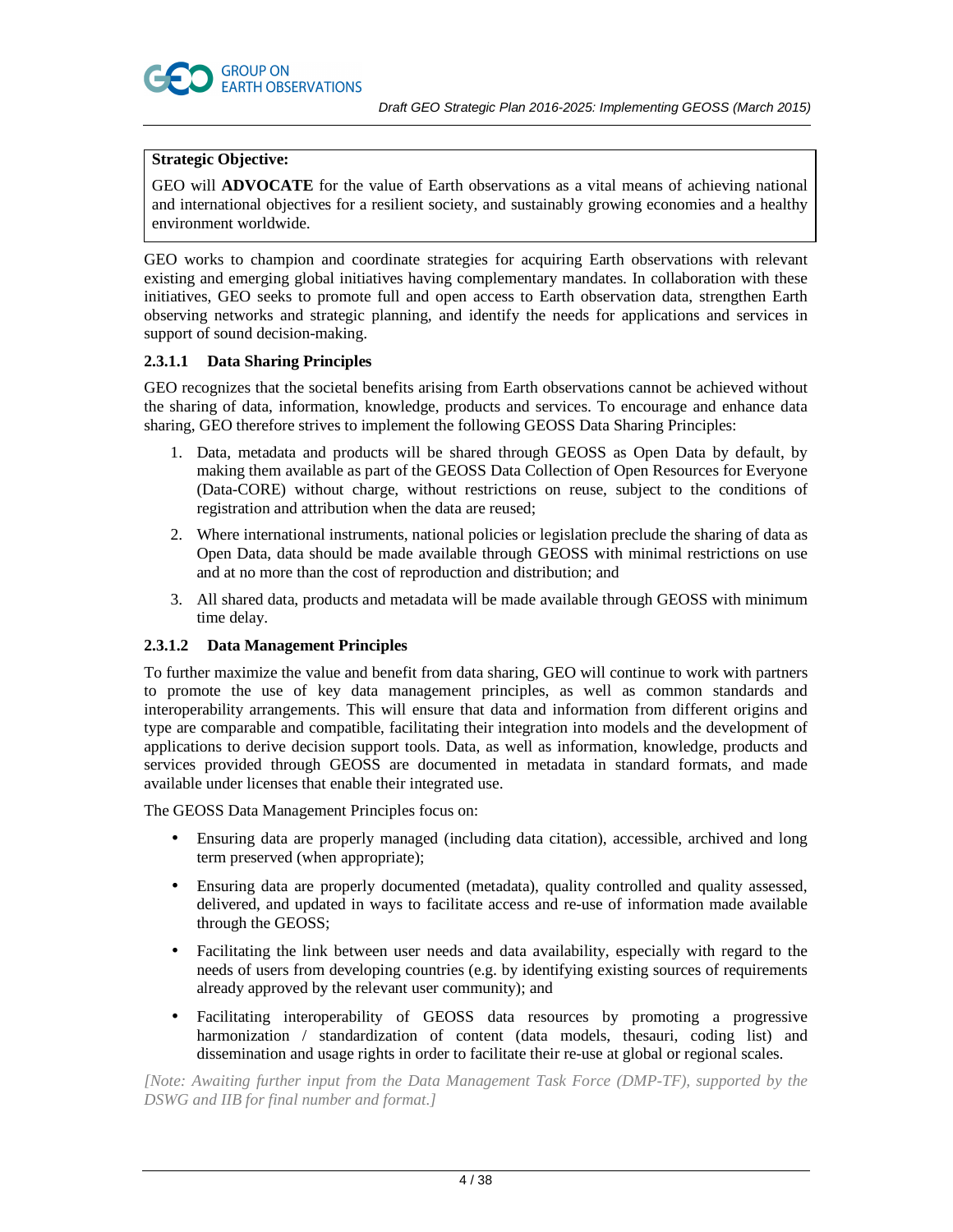

# **Strategic Objective:**

GEO will **ADVOCATE** for the value of Earth observations as a vital means of achieving national and international objectives for a resilient society, and sustainably growing economies and a healthy environment worldwide.

GEO works to champion and coordinate strategies for acquiring Earth observations with relevant existing and emerging global initiatives having complementary mandates. In collaboration with these initiatives, GEO seeks to promote full and open access to Earth observation data, strengthen Earth observing networks and strategic planning, and identify the needs for applications and services in support of sound decision-making.

# **2.3.1.1 Data Sharing Principles**

GEO recognizes that the societal benefits arising from Earth observations cannot be achieved without the sharing of data, information, knowledge, products and services. To encourage and enhance data sharing, GEO therefore strives to implement the following GEOSS Data Sharing Principles:

- 1. Data, metadata and products will be shared through GEOSS as Open Data by default, by making them available as part of the GEOSS Data Collection of Open Resources for Everyone (Data-CORE) without charge, without restrictions on reuse, subject to the conditions of registration and attribution when the data are reused;
- 2. Where international instruments, national policies or legislation preclude the sharing of data as Open Data, data should be made available through GEOSS with minimal restrictions on use and at no more than the cost of reproduction and distribution; and
- 3. All shared data, products and metadata will be made available through GEOSS with minimum time delay.

# **2.3.1.2 Data Management Principles**

To further maximize the value and benefit from data sharing, GEO will continue to work with partners to promote the use of key data management principles, as well as common standards and interoperability arrangements. This will ensure that data and information from different origins and type are comparable and compatible, facilitating their integration into models and the development of applications to derive decision support tools. Data, as well as information, knowledge, products and services provided through GEOSS are documented in metadata in standard formats, and made available under licenses that enable their integrated use.

The GEOSS Data Management Principles focus on:

- Ensuring data are properly managed (including data citation), accessible, archived and long term preserved (when appropriate);
- Ensuring data are properly documented (metadata), quality controlled and quality assessed, delivered, and updated in ways to facilitate access and re-use of information made available through the GEOSS;
- Facilitating the link between user needs and data availability, especially with regard to the needs of users from developing countries (e.g. by identifying existing sources of requirements already approved by the relevant user community); and
- Facilitating interoperability of GEOSS data resources by promoting a progressive harmonization / standardization of content (data models, thesauri, coding list) and dissemination and usage rights in order to facilitate their re-use at global or regional scales.

*[Note: Awaiting further input from the Data Management Task Force (DMP-TF), supported by the DSWG and IIB for final number and format.]*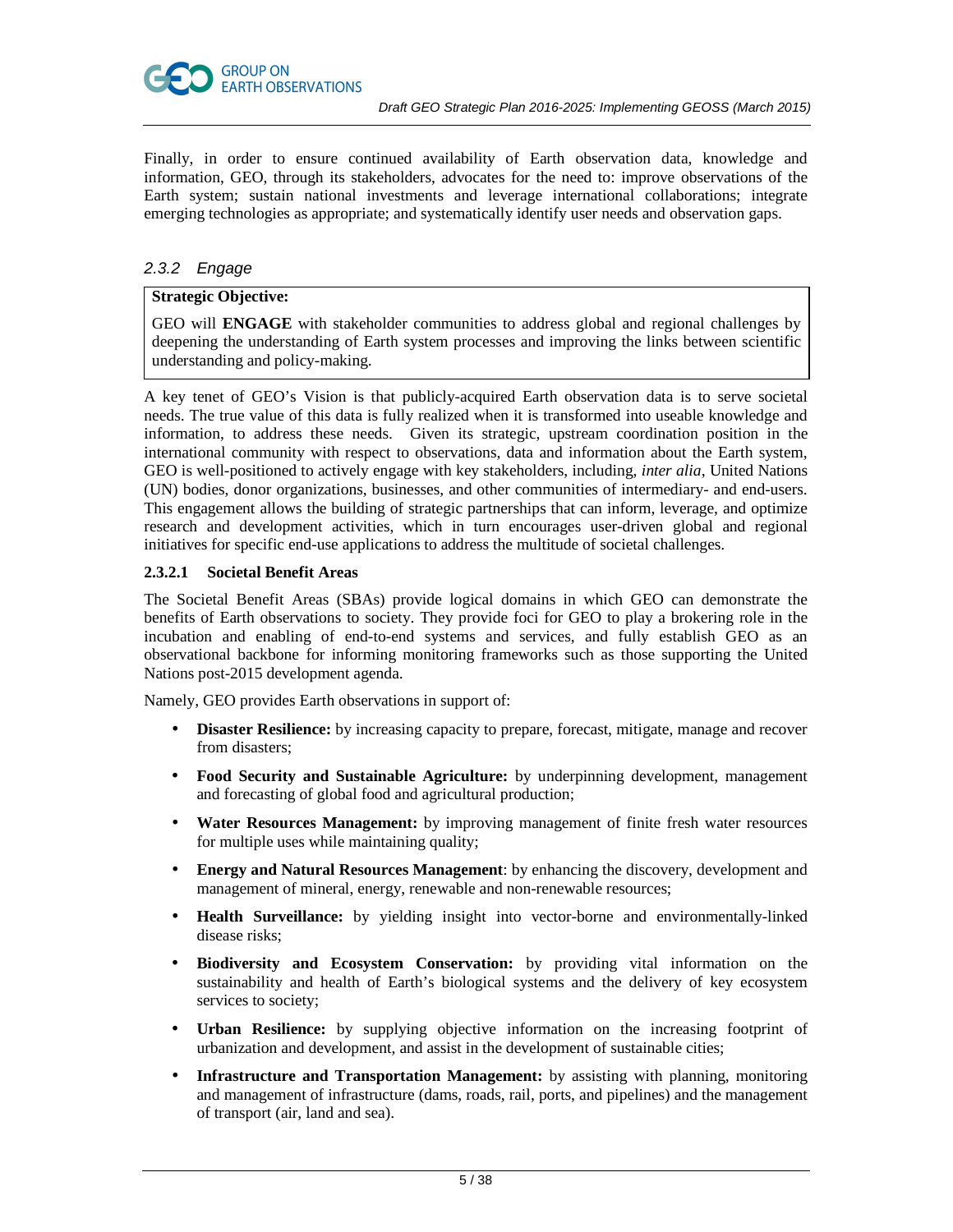

Finally, in order to ensure continued availability of Earth observation data, knowledge and information, GEO, through its stakeholders, advocates for the need to: improve observations of the Earth system; sustain national investments and leverage international collaborations; integrate emerging technologies as appropriate; and systematically identify user needs and observation gaps.

# 2.3.2 Engage

# **Strategic Objective:**

GEO will **ENGAGE** with stakeholder communities to address global and regional challenges by deepening the understanding of Earth system processes and improving the links between scientific understanding and policy-making.

A key tenet of GEO's Vision is that publicly-acquired Earth observation data is to serve societal needs. The true value of this data is fully realized when it is transformed into useable knowledge and information, to address these needs. Given its strategic, upstream coordination position in the international community with respect to observations, data and information about the Earth system, GEO is well-positioned to actively engage with key stakeholders, including, *inter alia*, United Nations (UN) bodies, donor organizations, businesses, and other communities of intermediary- and end-users. This engagement allows the building of strategic partnerships that can inform, leverage, and optimize research and development activities, which in turn encourages user-driven global and regional initiatives for specific end-use applications to address the multitude of societal challenges.

# **2.3.2.1 Societal Benefit Areas**

The Societal Benefit Areas (SBAs) provide logical domains in which GEO can demonstrate the benefits of Earth observations to society. They provide foci for GEO to play a brokering role in the incubation and enabling of end-to-end systems and services, and fully establish GEO as an observational backbone for informing monitoring frameworks such as those supporting the United Nations post-2015 development agenda.

Namely, GEO provides Earth observations in support of:

- **Disaster Resilience:** by increasing capacity to prepare, forecast, mitigate, manage and recover from disasters;
- **Food Security and Sustainable Agriculture:** by underpinning development, management and forecasting of global food and agricultural production;
- **Water Resources Management:** by improving management of finite fresh water resources for multiple uses while maintaining quality;
- **Energy and Natural Resources Management**: by enhancing the discovery, development and management of mineral, energy, renewable and non-renewable resources;
- **Health Surveillance:** by yielding insight into vector-borne and environmentally-linked disease risks;
- **Biodiversity and Ecosystem Conservation:** by providing vital information on the sustainability and health of Earth's biological systems and the delivery of key ecosystem services to society;
- **Urban Resilience:** by supplying objective information on the increasing footprint of urbanization and development, and assist in the development of sustainable cities;
- **Infrastructure and Transportation Management:** by assisting with planning, monitoring and management of infrastructure (dams, roads, rail, ports, and pipelines) and the management of transport (air, land and sea).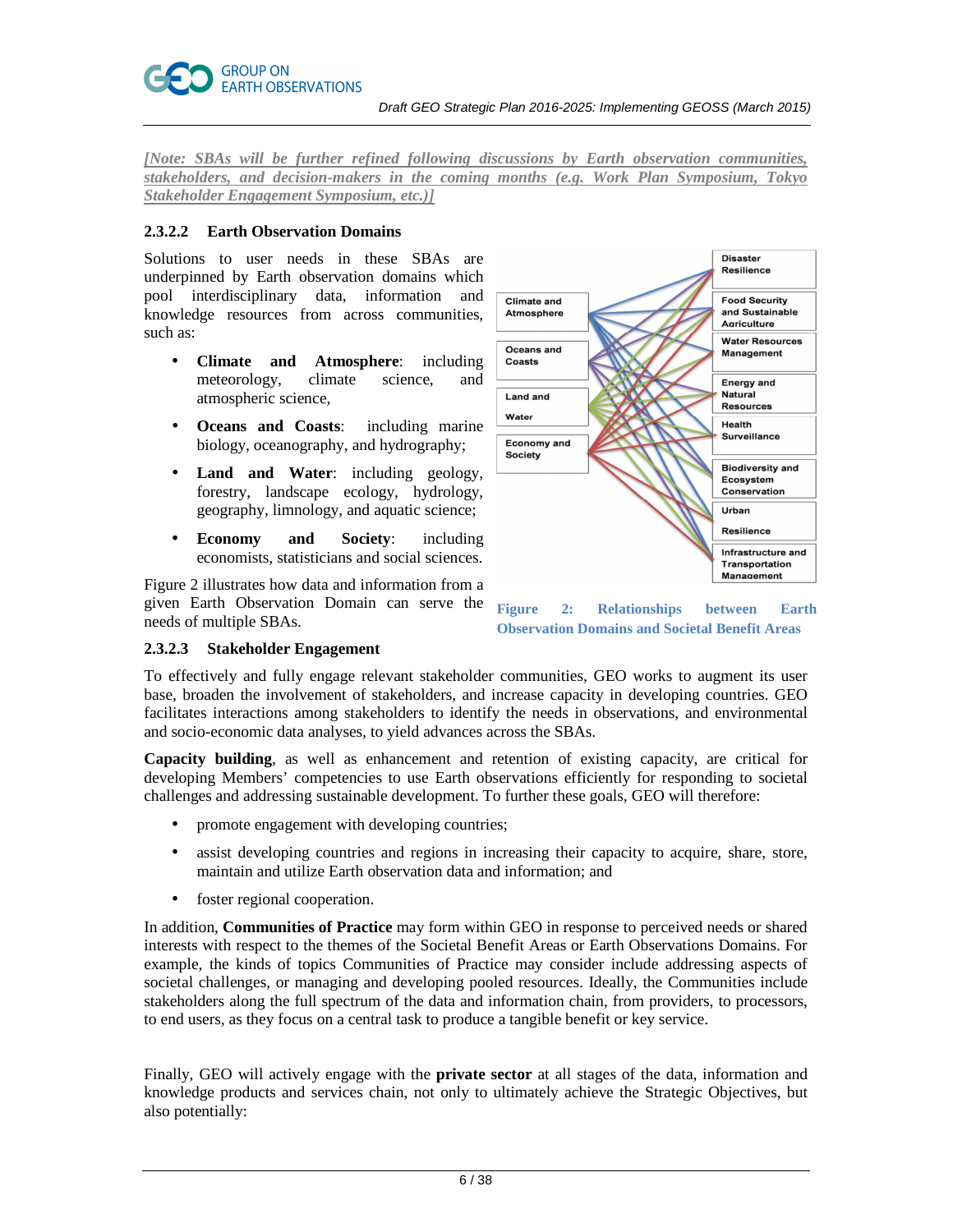*[Note: SBAs will be further refined following discussions by Earth observation communities, stakeholders, and decision-makers in the coming months (e.g. Work Plan Symposium, Tokyo Stakeholder Engagement Symposium, etc.)]* 

# **2.3.2.2 Earth Observation Domains**

Solutions to user needs in these SBAs are underpinned by Earth observation domains which pool interdisciplinary data, information and knowledge resources from across communities, such as:

- **Climate and Atmosphere**: including meteorology, climate science, and atmospheric science,
- **Oceans and Coasts**: including marine biology, oceanography, and hydrography;
- **Land and Water**: including geology, forestry, landscape ecology, hydrology, geography, limnology, and aquatic science;
- **Economy and Society**: including economists, statisticians and social sciences.

Figure 2 illustrates how data and information from a given Earth Observation Domain can serve the needs of multiple SBAs.



**Figure 2: Relationships between Earth Observation Domains and Societal Benefit Areas** 

# **2.3.2.3 Stakeholder Engagement**

To effectively and fully engage relevant stakeholder communities, GEO works to augment its user base, broaden the involvement of stakeholders, and increase capacity in developing countries. GEO facilitates interactions among stakeholders to identify the needs in observations, and environmental and socio-economic data analyses, to yield advances across the SBAs.

**Capacity building**, as well as enhancement and retention of existing capacity, are critical for developing Members' competencies to use Earth observations efficiently for responding to societal challenges and addressing sustainable development. To further these goals, GEO will therefore:

- promote engagement with developing countries;
- assist developing countries and regions in increasing their capacity to acquire, share, store, maintain and utilize Earth observation data and information; and
- foster regional cooperation.

In addition, **Communities of Practice** may form within GEO in response to perceived needs or shared interests with respect to the themes of the Societal Benefit Areas or Earth Observations Domains. For example, the kinds of topics Communities of Practice may consider include addressing aspects of societal challenges, or managing and developing pooled resources. Ideally, the Communities include stakeholders along the full spectrum of the data and information chain, from providers, to processors, to end users, as they focus on a central task to produce a tangible benefit or key service.

Finally, GEO will actively engage with the **private sector** at all stages of the data, information and knowledge products and services chain, not only to ultimately achieve the Strategic Objectives, but also potentially: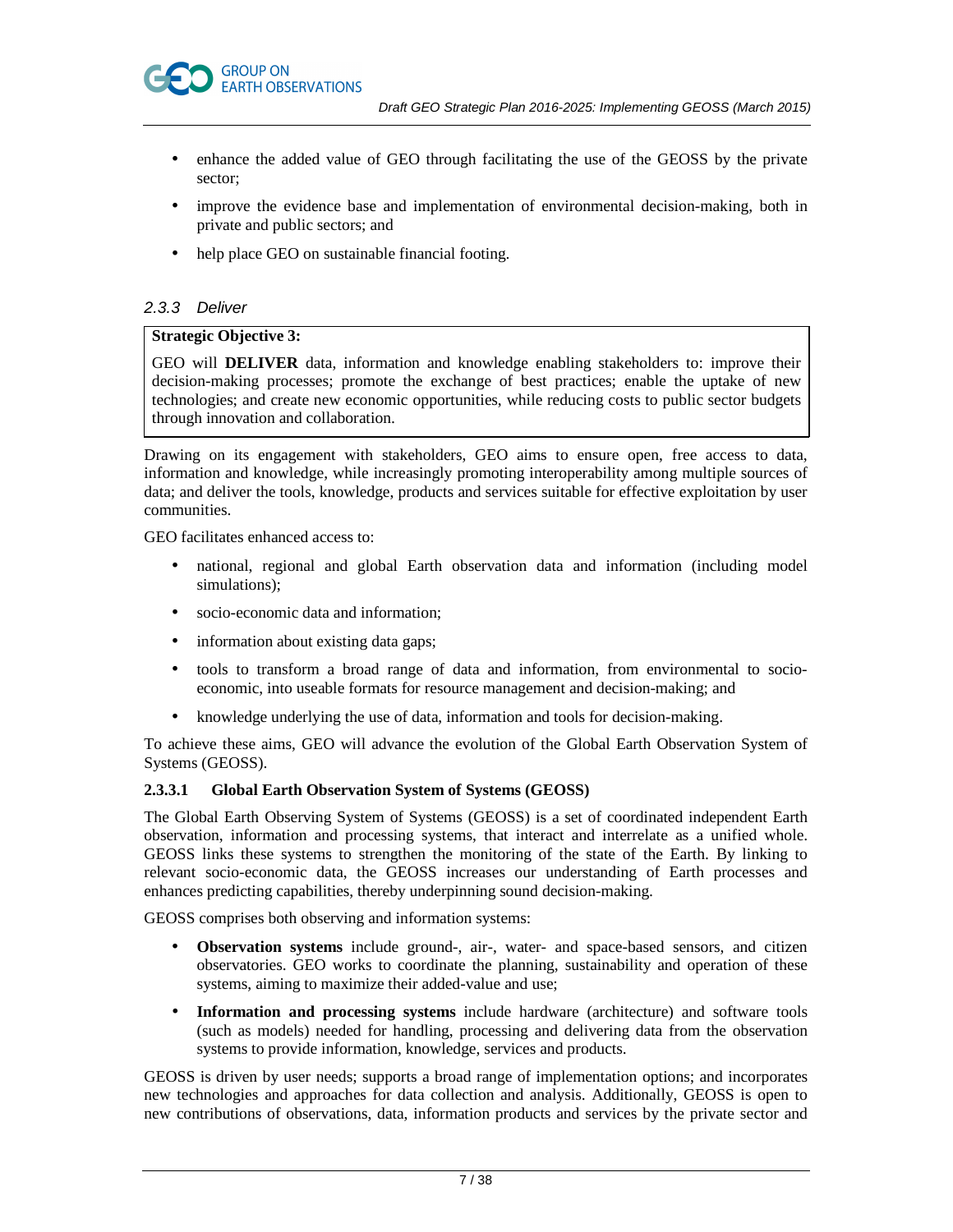

- enhance the added value of GEO through facilitating the use of the GEOSS by the private sector;
- improve the evidence base and implementation of environmental decision-making, both in private and public sectors; and
- help place GEO on sustainable financial footing.

# 2.3.3 Deliver

# **Strategic Objective 3:**

GEO will **DELIVER** data, information and knowledge enabling stakeholders to: improve their decision-making processes; promote the exchange of best practices; enable the uptake of new technologies; and create new economic opportunities, while reducing costs to public sector budgets through innovation and collaboration.

Drawing on its engagement with stakeholders, GEO aims to ensure open, free access to data, information and knowledge, while increasingly promoting interoperability among multiple sources of data; and deliver the tools, knowledge, products and services suitable for effective exploitation by user communities.

GEO facilitates enhanced access to:

- national, regional and global Earth observation data and information (including model simulations);
- socio-economic data and information;
- information about existing data gaps;
- tools to transform a broad range of data and information, from environmental to socioeconomic, into useable formats for resource management and decision-making; and
- knowledge underlying the use of data, information and tools for decision-making.

To achieve these aims, GEO will advance the evolution of the Global Earth Observation System of Systems (GEOSS).

# **2.3.3.1 Global Earth Observation System of Systems (GEOSS)**

The Global Earth Observing System of Systems (GEOSS) is a set of coordinated independent Earth observation, information and processing systems, that interact and interrelate as a unified whole. GEOSS links these systems to strengthen the monitoring of the state of the Earth. By linking to relevant socio-economic data, the GEOSS increases our understanding of Earth processes and enhances predicting capabilities, thereby underpinning sound decision-making.

GEOSS comprises both observing and information systems:

- **Observation systems** include ground-, air-, water- and space-based sensors, and citizen observatories. GEO works to coordinate the planning, sustainability and operation of these systems, aiming to maximize their added-value and use;
- **Information and processing systems** include hardware (architecture) and software tools (such as models) needed for handling, processing and delivering data from the observation systems to provide information, knowledge, services and products.

GEOSS is driven by user needs; supports a broad range of implementation options; and incorporates new technologies and approaches for data collection and analysis. Additionally, GEOSS is open to new contributions of observations, data, information products and services by the private sector and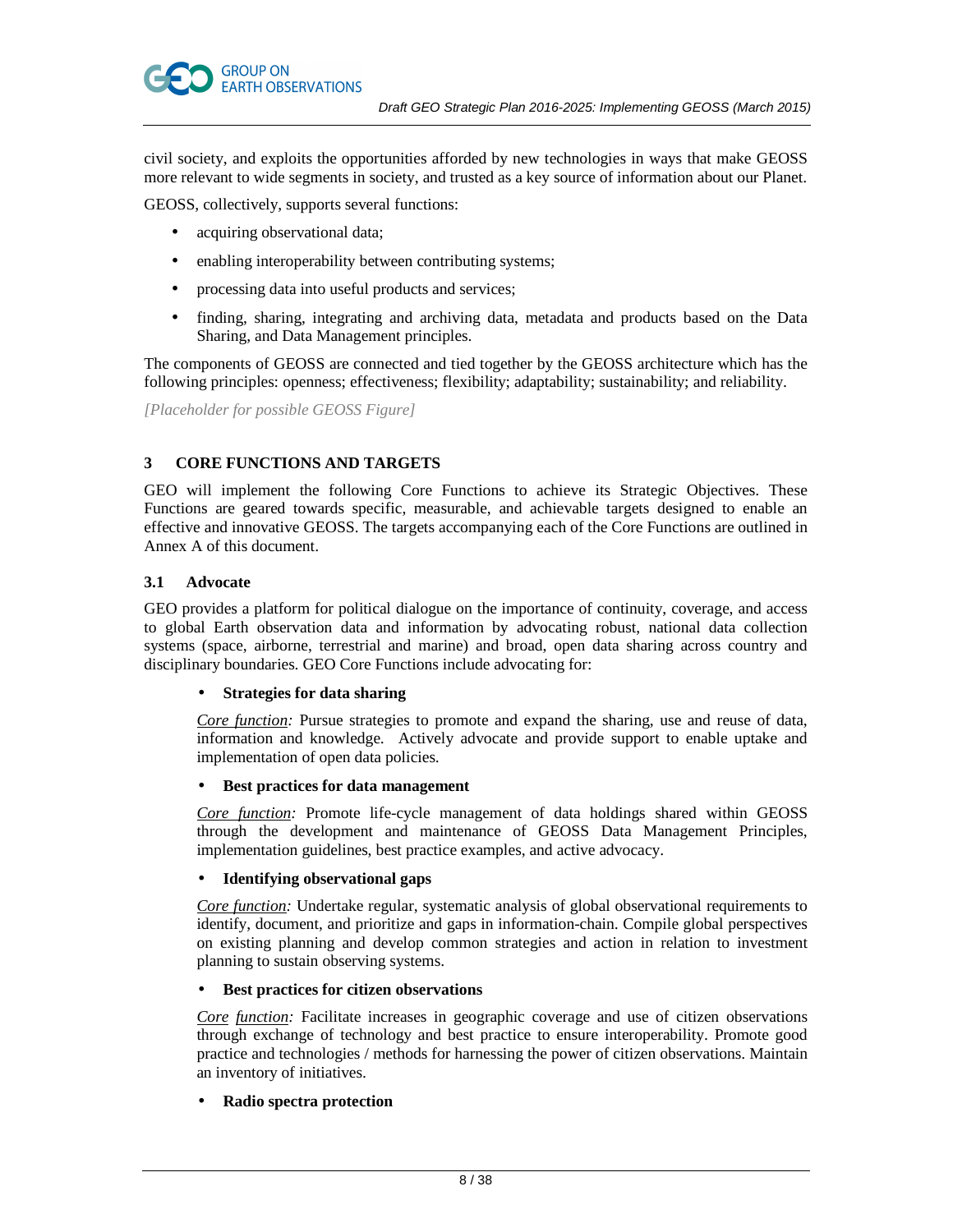

civil society, and exploits the opportunities afforded by new technologies in ways that make GEOSS more relevant to wide segments in society, and trusted as a key source of information about our Planet.

GEOSS, collectively, supports several functions:

- acquiring observational data;
- enabling interoperability between contributing systems;
- processing data into useful products and services;
- finding, sharing, integrating and archiving data, metadata and products based on the Data Sharing, and Data Management principles.

The components of GEOSS are connected and tied together by the GEOSS architecture which has the following principles: openness; effectiveness; flexibility; adaptability; sustainability; and reliability.

*[Placeholder for possible GEOSS Figure]*

# **3 CORE FUNCTIONS AND TARGETS**

GEO will implement the following Core Functions to achieve its Strategic Objectives. These Functions are geared towards specific, measurable, and achievable targets designed to enable an effective and innovative GEOSS. The targets accompanying each of the Core Functions are outlined in Annex A of this document.

#### **3.1 Advocate**

GEO provides a platform for political dialogue on the importance of continuity, coverage, and access to global Earth observation data and information by advocating robust, national data collection systems (space, airborne, terrestrial and marine) and broad, open data sharing across country and disciplinary boundaries. GEO Core Functions include advocating for:

# • **Strategies for data sharing**

*Core function:* Pursue strategies to promote and expand the sharing, use and reuse of data, information and knowledge. Actively advocate and provide support to enable uptake and implementation of open data policies.

#### • **Best practices for data management**

*Core function:* Promote life-cycle management of data holdings shared within GEOSS through the development and maintenance of GEOSS Data Management Principles, implementation guidelines, best practice examples, and active advocacy.

# • **Identifying observational gaps**

*Core function:* Undertake regular, systematic analysis of global observational requirements to identify, document, and prioritize and gaps in information-chain. Compile global perspectives on existing planning and develop common strategies and action in relation to investment planning to sustain observing systems.

# • **Best practices for citizen observations**

*Core function:* Facilitate increases in geographic coverage and use of citizen observations through exchange of technology and best practice to ensure interoperability. Promote good practice and technologies / methods for harnessing the power of citizen observations. Maintain an inventory of initiatives.

# • **Radio spectra protection**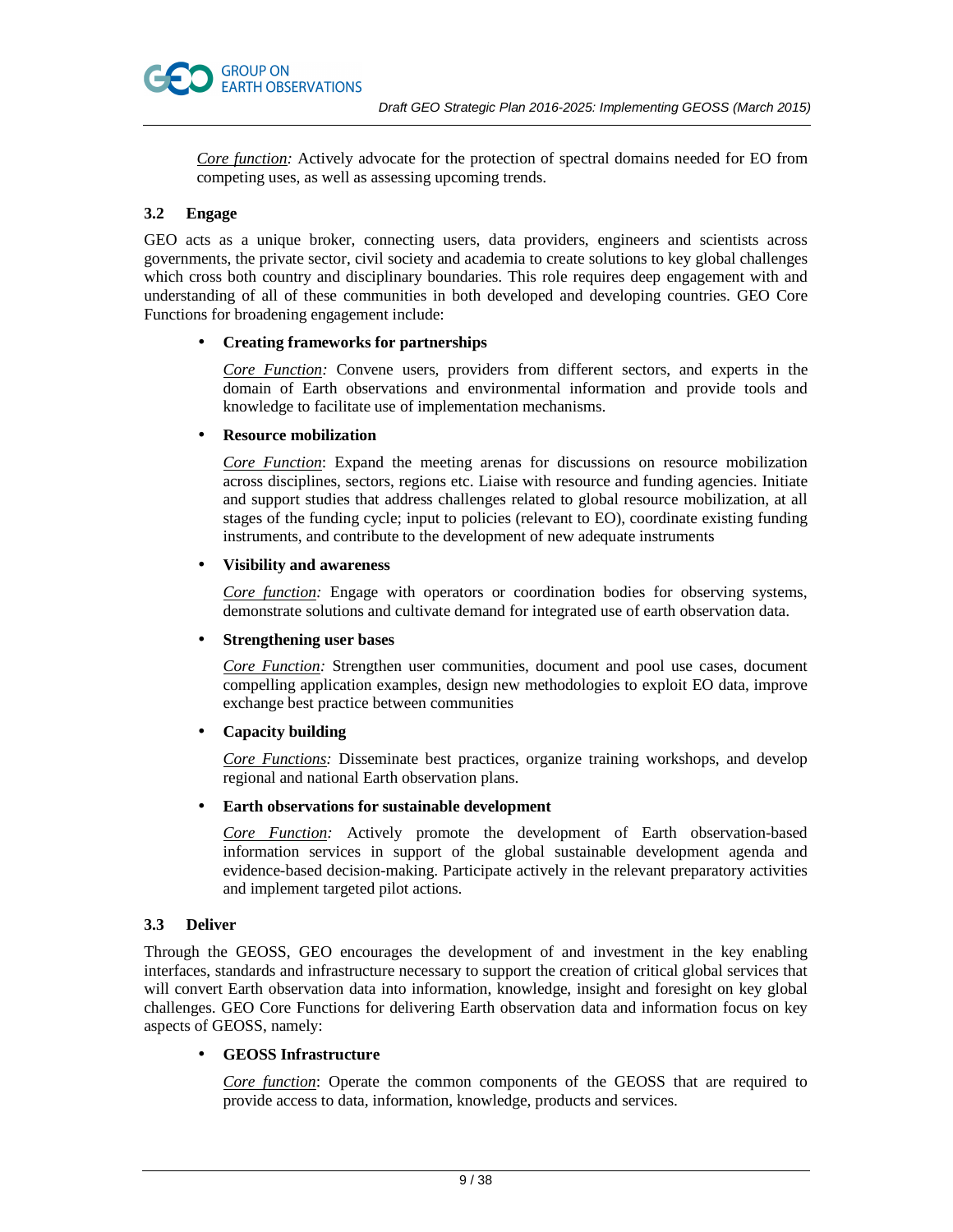*Core function:* Actively advocate for the protection of spectral domains needed for EO from competing uses, as well as assessing upcoming trends.

# **3.2 Engage**

GEO acts as a unique broker, connecting users, data providers, engineers and scientists across governments, the private sector, civil society and academia to create solutions to key global challenges which cross both country and disciplinary boundaries. This role requires deep engagement with and understanding of all of these communities in both developed and developing countries. GEO Core Functions for broadening engagement include:

# • **Creating frameworks for partnerships**

*Core Function:* Convene users, providers from different sectors, and experts in the domain of Earth observations and environmental information and provide tools and knowledge to facilitate use of implementation mechanisms.

#### • **Resource mobilization**

*Core Function*: Expand the meeting arenas for discussions on resource mobilization across disciplines, sectors, regions etc. Liaise with resource and funding agencies. Initiate and support studies that address challenges related to global resource mobilization, at all stages of the funding cycle; input to policies (relevant to EO), coordinate existing funding instruments, and contribute to the development of new adequate instruments

# • **Visibility and awareness**

*Core function:* Engage with operators or coordination bodies for observing systems, demonstrate solutions and cultivate demand for integrated use of earth observation data.

# • **Strengthening user bases**

*Core Function:* Strengthen user communities, document and pool use cases, document compelling application examples, design new methodologies to exploit EO data, improve exchange best practice between communities

# • **Capacity building**

*Core Functions:* Disseminate best practices, organize training workshops, and develop regional and national Earth observation plans.

# • **Earth observations for sustainable development**

*Core Function:* Actively promote the development of Earth observation-based information services in support of the global sustainable development agenda and evidence-based decision-making. Participate actively in the relevant preparatory activities and implement targeted pilot actions.

# **3.3 Deliver**

Through the GEOSS, GEO encourages the development of and investment in the key enabling interfaces, standards and infrastructure necessary to support the creation of critical global services that will convert Earth observation data into information, knowledge, insight and foresight on key global challenges. GEO Core Functions for delivering Earth observation data and information focus on key aspects of GEOSS, namely:

# • **GEOSS Infrastructure**

*Core function*: Operate the common components of the GEOSS that are required to provide access to data, information, knowledge, products and services.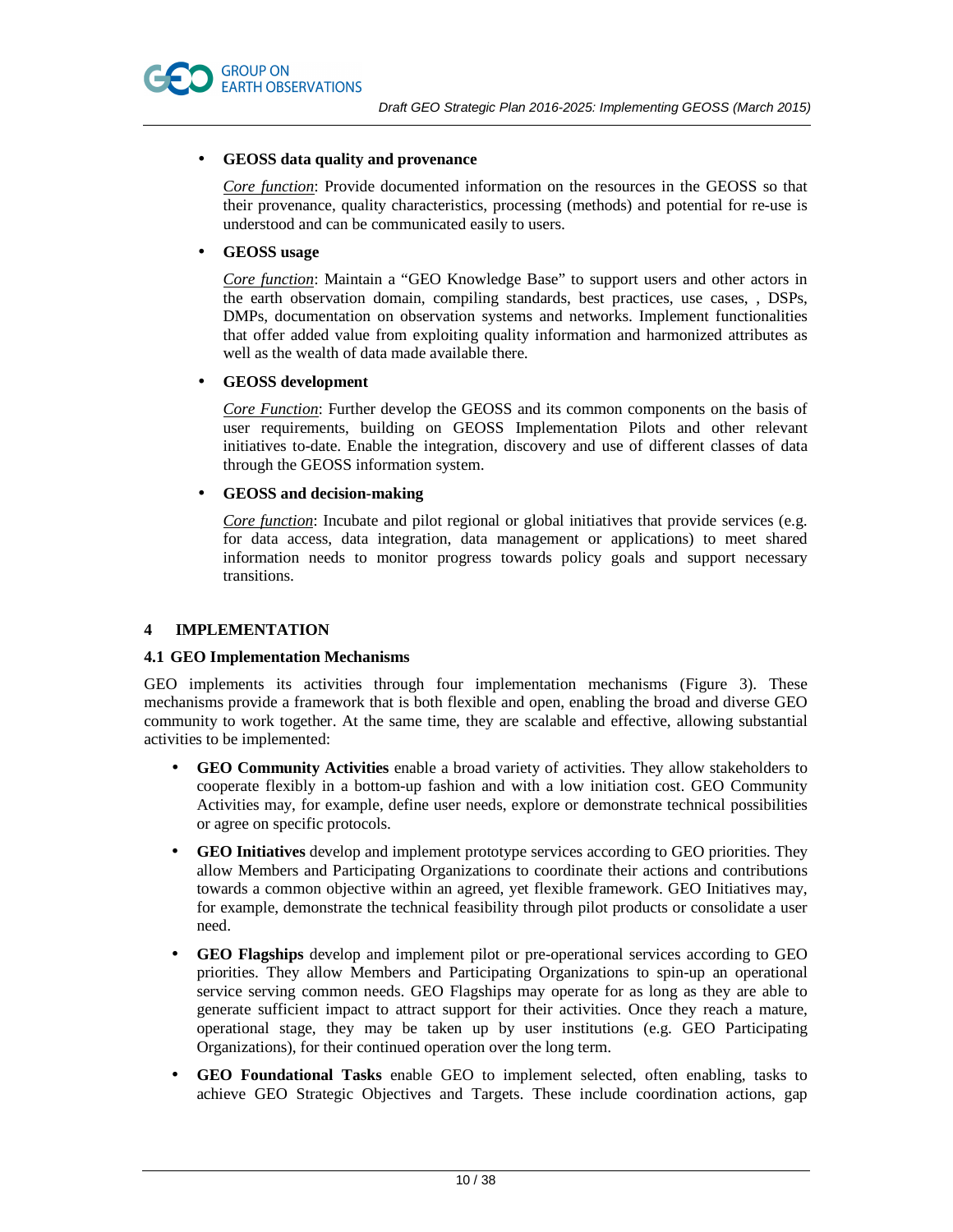

### • **GEOSS data quality and provenance**

*Core function*: Provide documented information on the resources in the GEOSS so that their provenance, quality characteristics, processing (methods) and potential for re-use is understood and can be communicated easily to users.

#### • **GEOSS usage**

*Core function*: Maintain a "GEO Knowledge Base" to support users and other actors in the earth observation domain, compiling standards, best practices, use cases, , DSPs, DMPs, documentation on observation systems and networks. Implement functionalities that offer added value from exploiting quality information and harmonized attributes as well as the wealth of data made available there.

#### • **GEOSS development**

*Core Function*: Further develop the GEOSS and its common components on the basis of user requirements, building on GEOSS Implementation Pilots and other relevant initiatives to-date. Enable the integration, discovery and use of different classes of data through the GEOSS information system.

#### • **GEOSS and decision-making**

*Core function*: Incubate and pilot regional or global initiatives that provide services (e.g. for data access, data integration, data management or applications) to meet shared information needs to monitor progress towards policy goals and support necessary transitions.

# **4 IMPLEMENTATION**

#### **4.1 GEO Implementation Mechanisms**

GEO implements its activities through four implementation mechanisms (Figure 3). These mechanisms provide a framework that is both flexible and open, enabling the broad and diverse GEO community to work together. At the same time, they are scalable and effective, allowing substantial activities to be implemented:

- **GEO Community Activities** enable a broad variety of activities. They allow stakeholders to cooperate flexibly in a bottom-up fashion and with a low initiation cost. GEO Community Activities may, for example, define user needs, explore or demonstrate technical possibilities or agree on specific protocols.
- **GEO Initiatives** develop and implement prototype services according to GEO priorities. They allow Members and Participating Organizations to coordinate their actions and contributions towards a common objective within an agreed, yet flexible framework. GEO Initiatives may, for example, demonstrate the technical feasibility through pilot products or consolidate a user need.
- **GEO Flagships** develop and implement pilot or pre-operational services according to GEO priorities. They allow Members and Participating Organizations to spin-up an operational service serving common needs. GEO Flagships may operate for as long as they are able to generate sufficient impact to attract support for their activities. Once they reach a mature, operational stage, they may be taken up by user institutions (e.g. GEO Participating Organizations), for their continued operation over the long term.
- **GEO Foundational Tasks** enable GEO to implement selected, often enabling, tasks to achieve GEO Strategic Objectives and Targets. These include coordination actions, gap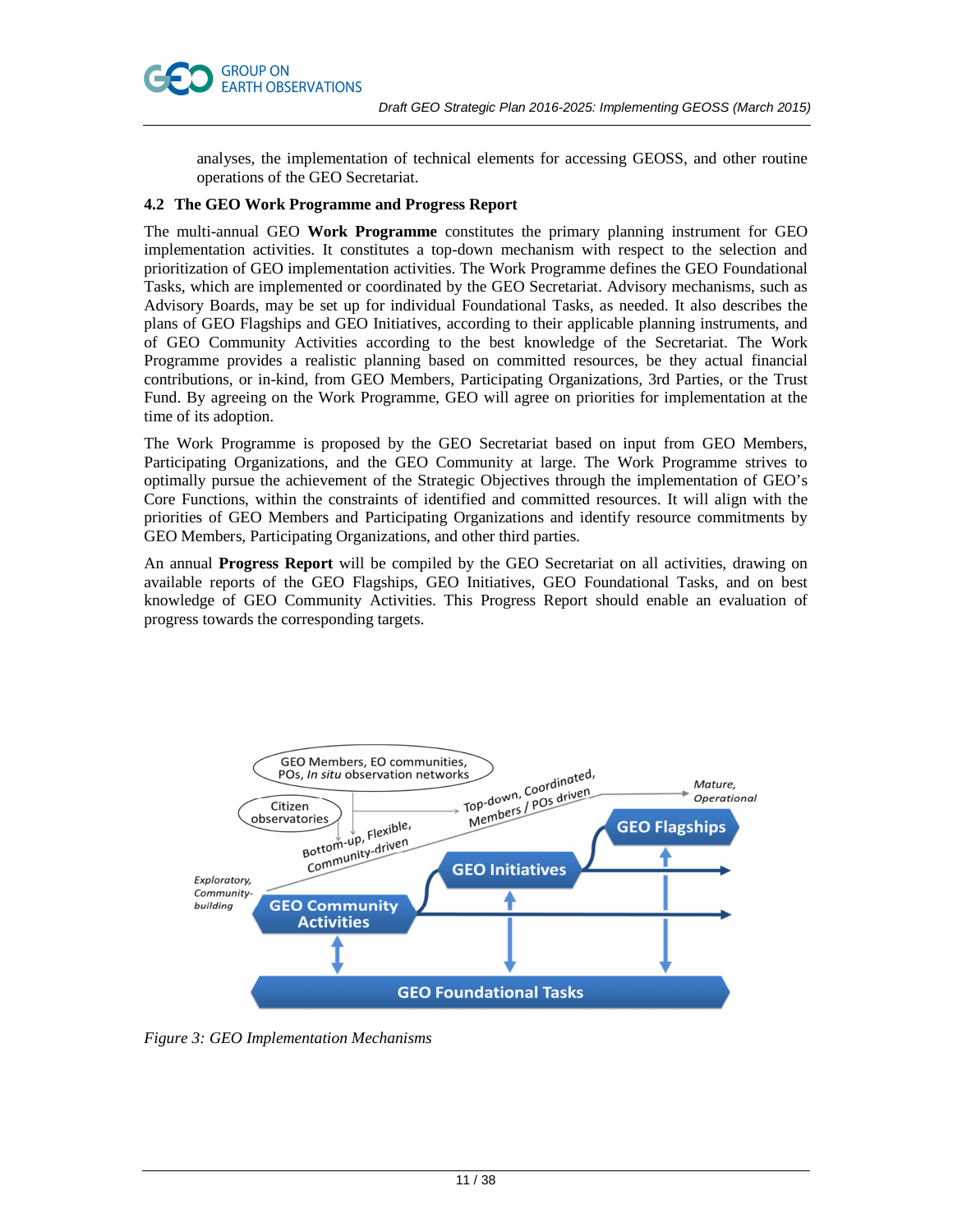

analyses, the implementation of technical elements for accessing GEOSS, and other routine operations of the GEO Secretariat.

# **4.2 The GEO Work Programme and Progress Report**

The multi-annual GEO **Work Programme** constitutes the primary planning instrument for GEO implementation activities. It constitutes a top-down mechanism with respect to the selection and prioritization of GEO implementation activities. The Work Programme defines the GEO Foundational Tasks, which are implemented or coordinated by the GEO Secretariat. Advisory mechanisms, such as Advisory Boards, may be set up for individual Foundational Tasks, as needed. It also describes the plans of GEO Flagships and GEO Initiatives, according to their applicable planning instruments, and of GEO Community Activities according to the best knowledge of the Secretariat. The Work Programme provides a realistic planning based on committed resources, be they actual financial contributions, or in-kind, from GEO Members, Participating Organizations, 3rd Parties, or the Trust Fund. By agreeing on the Work Programme, GEO will agree on priorities for implementation at the time of its adoption.

The Work Programme is proposed by the GEO Secretariat based on input from GEO Members, Participating Organizations, and the GEO Community at large. The Work Programme strives to optimally pursue the achievement of the Strategic Objectives through the implementation of GEO's Core Functions, within the constraints of identified and committed resources. It will align with the priorities of GEO Members and Participating Organizations and identify resource commitments by GEO Members, Participating Organizations, and other third parties.

An annual **Progress Report** will be compiled by the GEO Secretariat on all activities, drawing on available reports of the GEO Flagships, GEO Initiatives, GEO Foundational Tasks, and on best knowledge of GEO Community Activities. This Progress Report should enable an evaluation of progress towards the corresponding targets.



*Figure 3: GEO Implementation Mechanisms*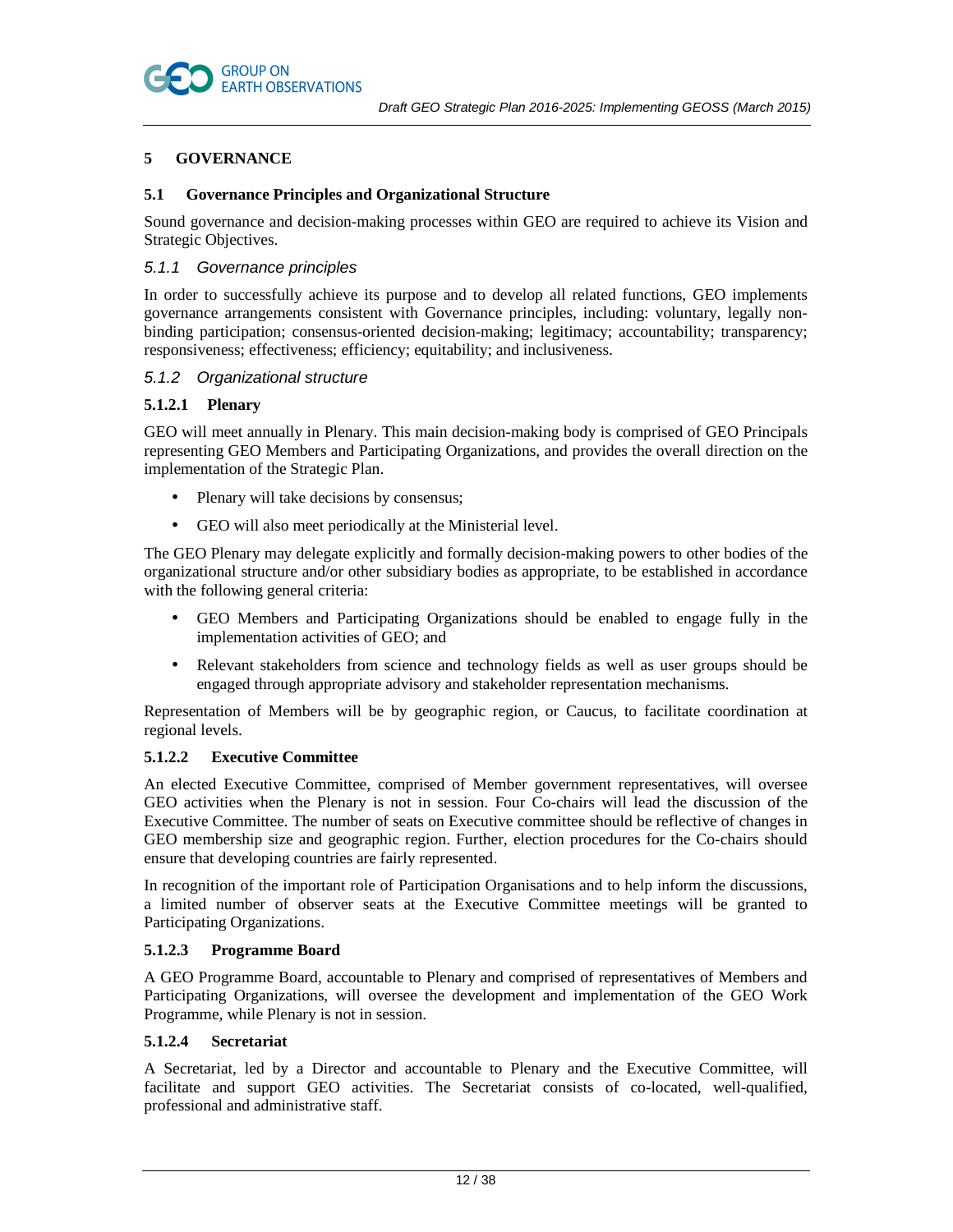

# **5 GOVERNANCE**

# **5.1 Governance Principles and Organizational Structure**

Sound governance and decision-making processes within GEO are required to achieve its Vision and Strategic Objectives.

# 5.1.1 Governance principles

In order to successfully achieve its purpose and to develop all related functions, GEO implements governance arrangements consistent with Governance principles*,* including: voluntary, legally nonbinding participation; consensus-oriented decision-making; legitimacy; accountability; transparency; responsiveness; effectiveness; efficiency; equitability; and inclusiveness.

# 5.1.2 Organizational structure

# **5.1.2.1 Plenary**

GEO will meet annually in Plenary. This main decision-making body is comprised of GEO Principals representing GEO Members and Participating Organizations, and provides the overall direction on the implementation of the Strategic Plan.

- Plenary will take decisions by consensus;
- GEO will also meet periodically at the Ministerial level.

The GEO Plenary may delegate explicitly and formally decision-making powers to other bodies of the organizational structure and/or other subsidiary bodies as appropriate, to be established in accordance with the following general criteria:

- GEO Members and Participating Organizations should be enabled to engage fully in the implementation activities of GEO; and
- Relevant stakeholders from science and technology fields as well as user groups should be engaged through appropriate advisory and stakeholder representation mechanisms.

Representation of Members will be by geographic region, or Caucus, to facilitate coordination at regional levels.

# **5.1.2.2 Executive Committee**

An elected Executive Committee, comprised of Member government representatives, will oversee GEO activities when the Plenary is not in session. Four Co-chairs will lead the discussion of the Executive Committee. The number of seats on Executive committee should be reflective of changes in GEO membership size and geographic region. Further, election procedures for the Co-chairs should ensure that developing countries are fairly represented.

In recognition of the important role of Participation Organisations and to help inform the discussions, a limited number of observer seats at the Executive Committee meetings will be granted to Participating Organizations.

# **5.1.2.3 Programme Board**

A GEO Programme Board, accountable to Plenary and comprised of representatives of Members and Participating Organizations, will oversee the development and implementation of the GEO Work Programme, while Plenary is not in session.

# **5.1.2.4 Secretariat**

A Secretariat, led by a Director and accountable to Plenary and the Executive Committee, will facilitate and support GEO activities. The Secretariat consists of co-located, well-qualified, professional and administrative staff.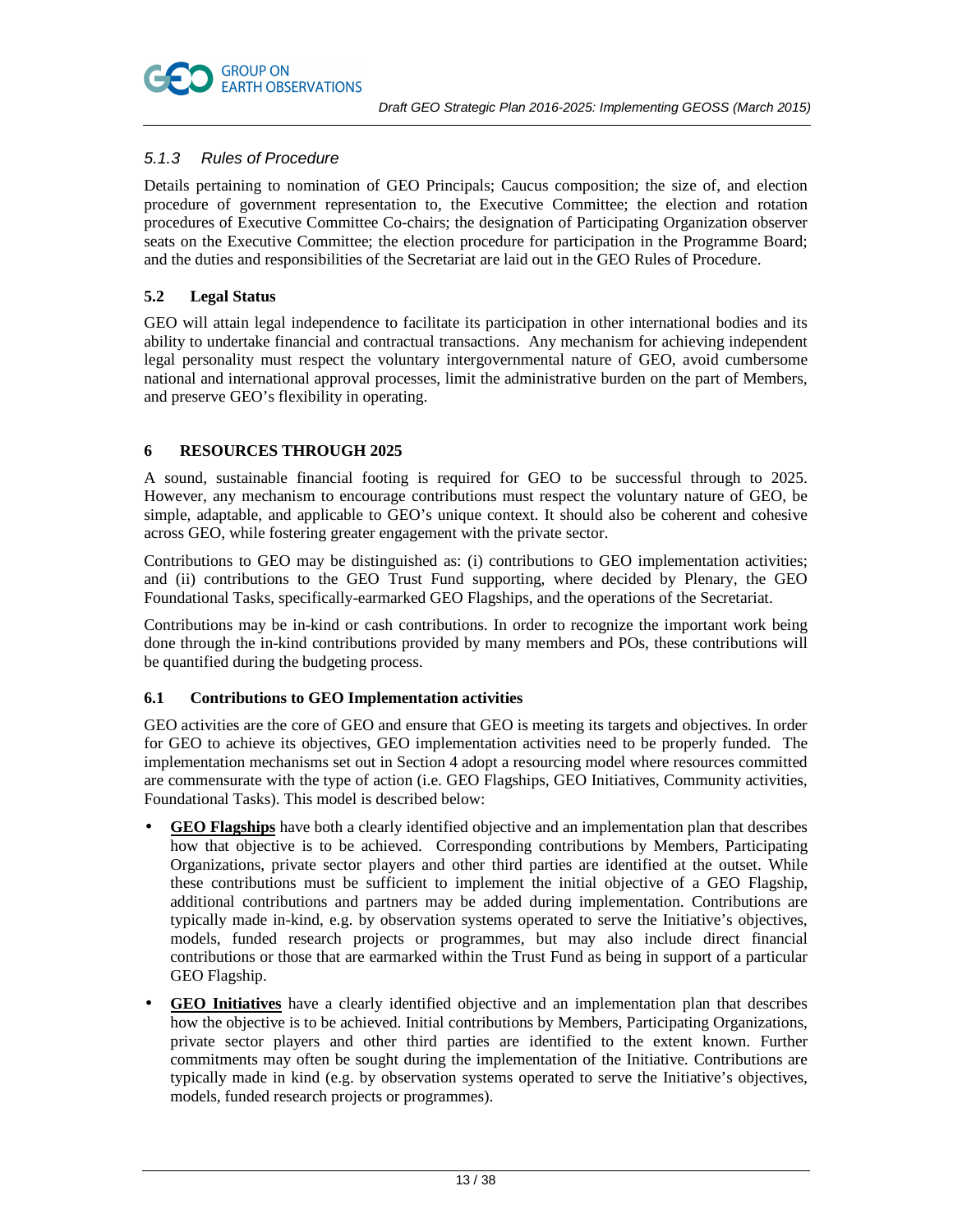

# 5.1.3 Rules of Procedure

Details pertaining to nomination of GEO Principals; Caucus composition; the size of, and election procedure of government representation to, the Executive Committee; the election and rotation procedures of Executive Committee Co-chairs; the designation of Participating Organization observer seats on the Executive Committee; the election procedure for participation in the Programme Board; and the duties and responsibilities of the Secretariat are laid out in the GEO Rules of Procedure.

# **5.2 Legal Status**

GEO will attain legal independence to facilitate its participation in other international bodies and its ability to undertake financial and contractual transactions. Any mechanism for achieving independent legal personality must respect the voluntary intergovernmental nature of GEO, avoid cumbersome national and international approval processes, limit the administrative burden on the part of Members, and preserve GEO's flexibility in operating.

# **6 RESOURCES THROUGH 2025**

A sound, sustainable financial footing is required for GEO to be successful through to 2025. However, any mechanism to encourage contributions must respect the voluntary nature of GEO, be simple, adaptable, and applicable to GEO's unique context. It should also be coherent and cohesive across GEO, while fostering greater engagement with the private sector.

Contributions to GEO may be distinguished as: (i) contributions to GEO implementation activities; and (ii) contributions to the GEO Trust Fund supporting, where decided by Plenary, the GEO Foundational Tasks, specifically-earmarked GEO Flagships, and the operations of the Secretariat.

Contributions may be in-kind or cash contributions. In order to recognize the important work being done through the in-kind contributions provided by many members and POs, these contributions will be quantified during the budgeting process.

# **6.1 Contributions to GEO Implementation activities**

GEO activities are the core of GEO and ensure that GEO is meeting its targets and objectives. In order for GEO to achieve its objectives, GEO implementation activities need to be properly funded. The implementation mechanisms set out in Section 4 adopt a resourcing model where resources committed are commensurate with the type of action (i.e. GEO Flagships, GEO Initiatives, Community activities, Foundational Tasks). This model is described below:

- **GEO Flagships** have both a clearly identified objective and an implementation plan that describes how that objective is to be achieved. Corresponding contributions by Members, Participating Organizations, private sector players and other third parties are identified at the outset. While these contributions must be sufficient to implement the initial objective of a GEO Flagship, additional contributions and partners may be added during implementation. Contributions are typically made in-kind, e.g. by observation systems operated to serve the Initiative's objectives, models, funded research projects or programmes, but may also include direct financial contributions or those that are earmarked within the Trust Fund as being in support of a particular GEO Flagship.
- **GEO Initiatives** have a clearly identified objective and an implementation plan that describes how the objective is to be achieved. Initial contributions by Members, Participating Organizations, private sector players and other third parties are identified to the extent known. Further commitments may often be sought during the implementation of the Initiative. Contributions are typically made in kind (e.g. by observation systems operated to serve the Initiative's objectives, models, funded research projects or programmes).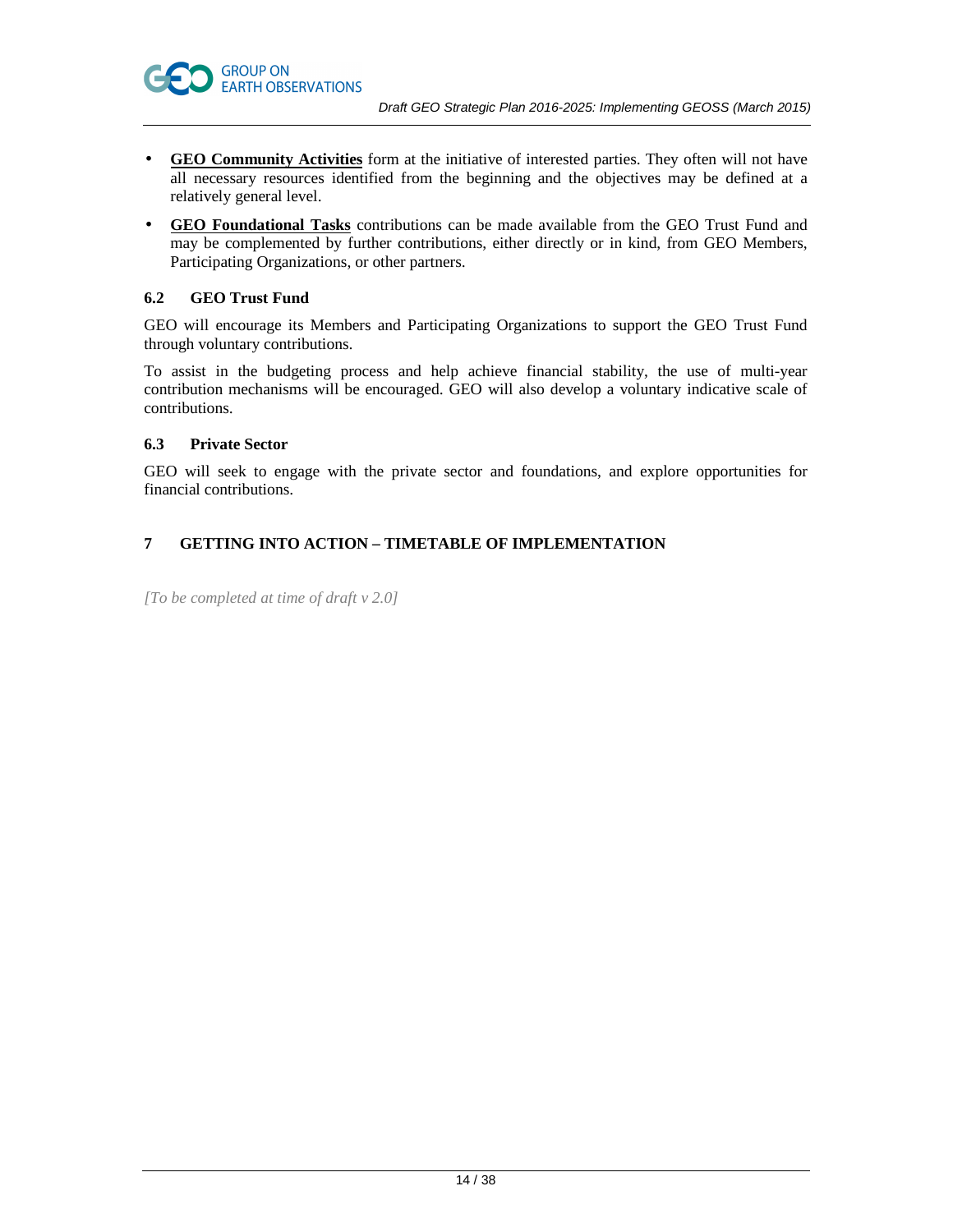- **GEO Community Activities** form at the initiative of interested parties. They often will not have all necessary resources identified from the beginning and the objectives may be defined at a relatively general level.
- **GEO Foundational Tasks** contributions can be made available from the GEO Trust Fund and may be complemented by further contributions, either directly or in kind, from GEO Members, Participating Organizations, or other partners.

# **6.2 GEO Trust Fund**

GEO will encourage its Members and Participating Organizations to support the GEO Trust Fund through voluntary contributions.

To assist in the budgeting process and help achieve financial stability, the use of multi-year contribution mechanisms will be encouraged. GEO will also develop a voluntary indicative scale of contributions.

# **6.3 Private Sector**

GEO will seek to engage with the private sector and foundations, and explore opportunities for financial contributions.

# **7 GETTING INTO ACTION – TIMETABLE OF IMPLEMENTATION**

*[To be completed at time of draft v 2.0]*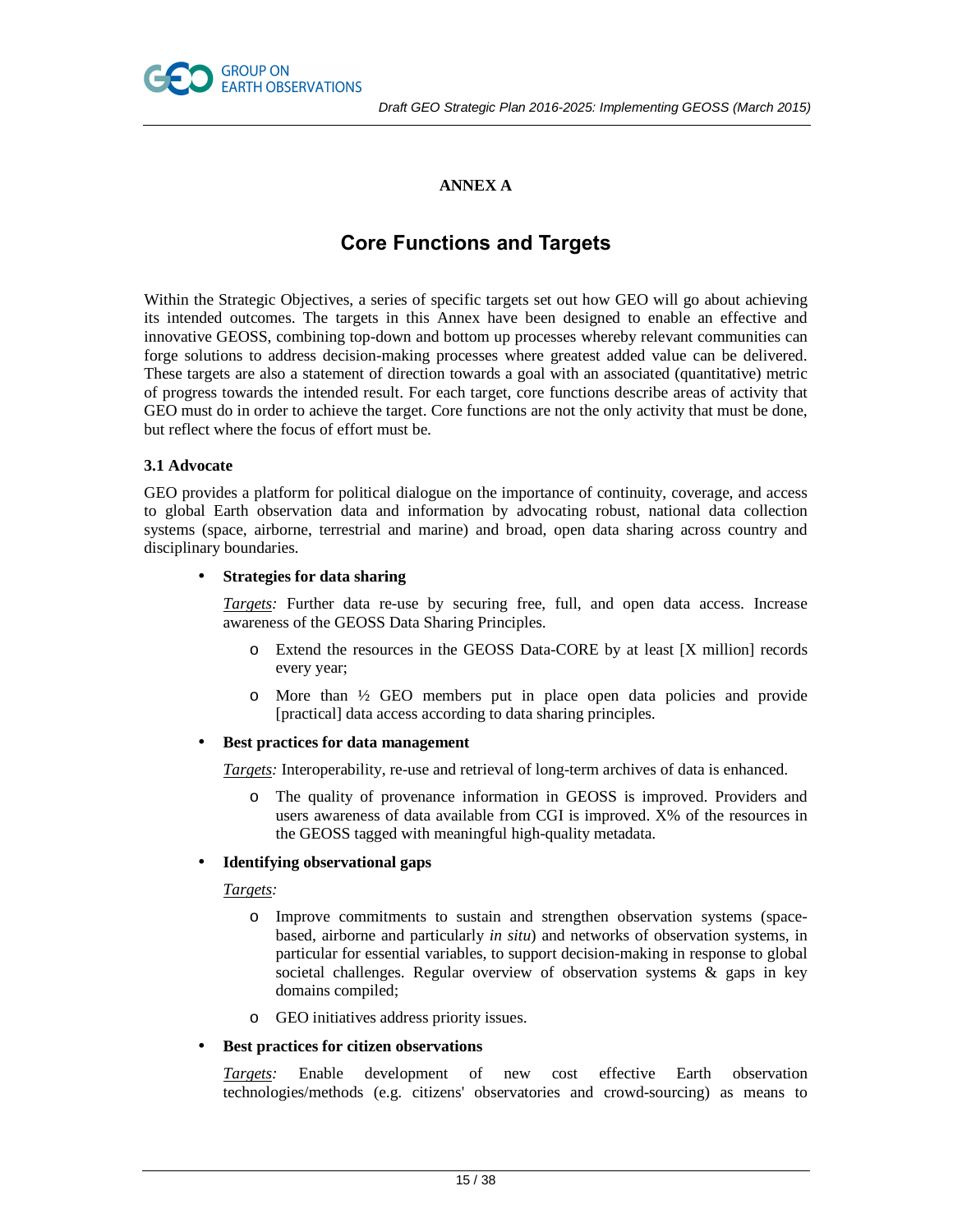

# **ANNEX A**

# **Core Functions and Targets**

Within the Strategic Objectives, a series of specific targets set out how GEO will go about achieving its intended outcomes. The targets in this Annex have been designed to enable an effective and innovative GEOSS, combining top-down and bottom up processes whereby relevant communities can forge solutions to address decision-making processes where greatest added value can be delivered. These targets are also a statement of direction towards a goal with an associated (quantitative) metric of progress towards the intended result. For each target, core functions describe areas of activity that GEO must do in order to achieve the target. Core functions are not the only activity that must be done, but reflect where the focus of effort must be.

# **3.1 Advocate**

GEO provides a platform for political dialogue on the importance of continuity, coverage, and access to global Earth observation data and information by advocating robust, national data collection systems (space, airborne, terrestrial and marine) and broad, open data sharing across country and disciplinary boundaries.

#### • **Strategies for data sharing**

*Targets:* Further data re-use by securing free, full, and open data access. Increase awareness of the GEOSS Data Sharing Principles.

- o Extend the resources in the GEOSS Data-CORE by at least [X million] records every year;
- o More than ½ GEO members put in place open data policies and provide [practical] data access according to data sharing principles.

#### • **Best practices for data management**

*Targets:* Interoperability, re-use and retrieval of long-term archives of data is enhanced.

o The quality of provenance information in GEOSS is improved. Providers and users awareness of data available from CGI is improved. X% of the resources in the GEOSS tagged with meaningful high-quality metadata.

# • **Identifying observational gaps**

#### *Targets:*

- o Improve commitments to sustain and strengthen observation systems (spacebased, airborne and particularly *in situ*) and networks of observation systems, in particular for essential variables, to support decision-making in response to global societal challenges. Regular overview of observation systems & gaps in key domains compiled;
- o GEO initiatives address priority issues.

# • **Best practices for citizen observations**

*Targets:* Enable development of new cost effective Earth observation technologies/methods (e.g. citizens' observatories and crowd-sourcing) as means to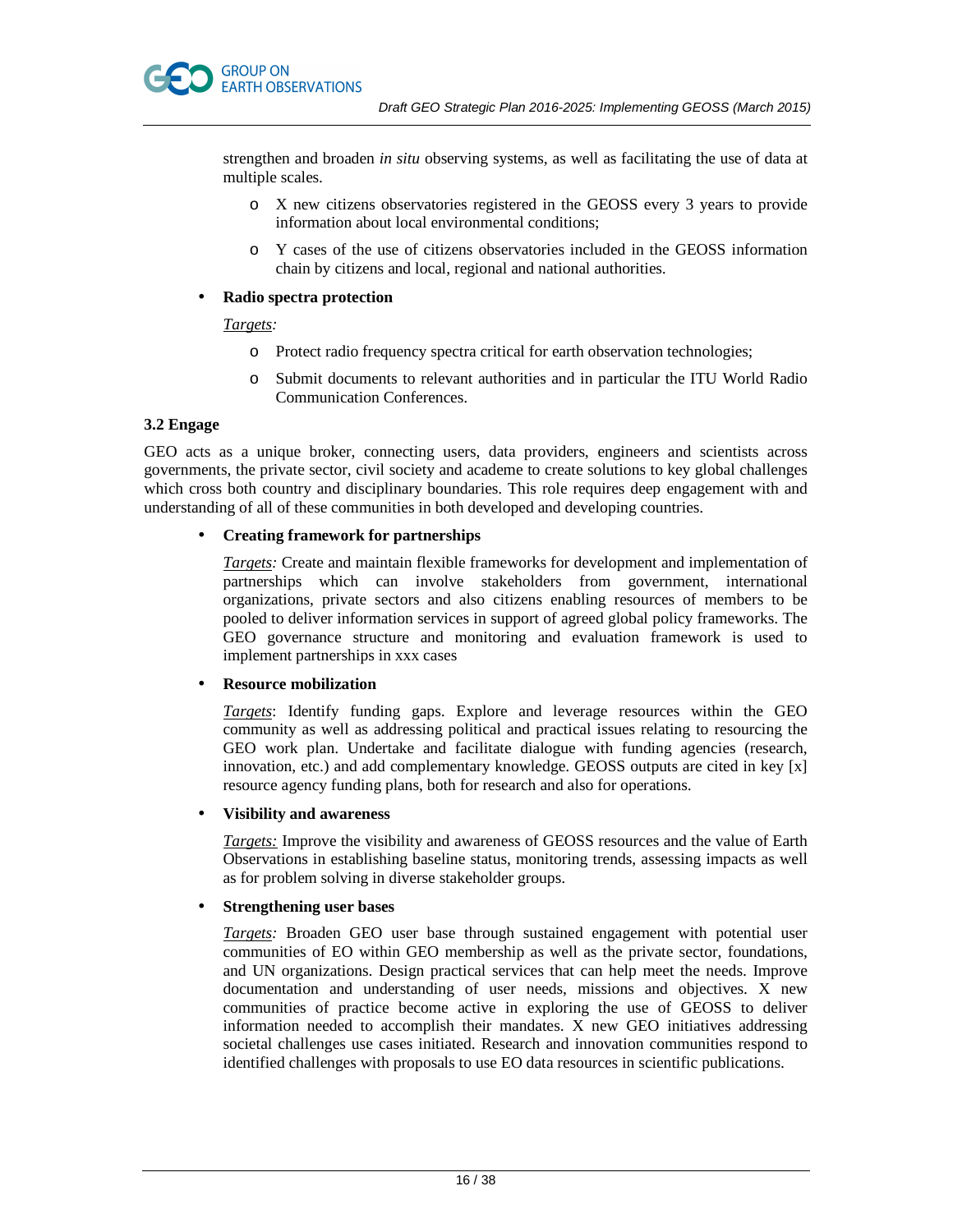strengthen and broaden *in situ* observing systems, as well as facilitating the use of data at multiple scales.

- o X new citizens observatories registered in the GEOSS every 3 years to provide information about local environmental conditions;
- o Y cases of the use of citizens observatories included in the GEOSS information chain by citizens and local, regional and national authorities.

# • **Radio spectra protection**

# *Targets:*

- o Protect radio frequency spectra critical for earth observation technologies;
- o Submit documents to relevant authorities and in particular the ITU World Radio Communication Conferences.

# **3.2 Engage**

GEO acts as a unique broker, connecting users, data providers, engineers and scientists across governments, the private sector, civil society and academe to create solutions to key global challenges which cross both country and disciplinary boundaries. This role requires deep engagement with and understanding of all of these communities in both developed and developing countries.

# • **Creating framework for partnerships**

*Targets:* Create and maintain flexible frameworks for development and implementation of partnerships which can involve stakeholders from government, international organizations, private sectors and also citizens enabling resources of members to be pooled to deliver information services in support of agreed global policy frameworks. The GEO governance structure and monitoring and evaluation framework is used to implement partnerships in xxx cases

# • **Resource mobilization**

*Targets*: Identify funding gaps. Explore and leverage resources within the GEO community as well as addressing political and practical issues relating to resourcing the GEO work plan. Undertake and facilitate dialogue with funding agencies (research, innovation, etc.) and add complementary knowledge. GEOSS outputs are cited in key [x] resource agency funding plans, both for research and also for operations.

# • **Visibility and awareness**

*Targets:* Improve the visibility and awareness of GEOSS resources and the value of Earth Observations in establishing baseline status, monitoring trends, assessing impacts as well as for problem solving in diverse stakeholder groups.

# • **Strengthening user bases**

*Targets:* Broaden GEO user base through sustained engagement with potential user communities of EO within GEO membership as well as the private sector, foundations, and UN organizations. Design practical services that can help meet the needs. Improve documentation and understanding of user needs, missions and objectives. X new communities of practice become active in exploring the use of GEOSS to deliver information needed to accomplish their mandates. X new GEO initiatives addressing societal challenges use cases initiated. Research and innovation communities respond to identified challenges with proposals to use EO data resources in scientific publications.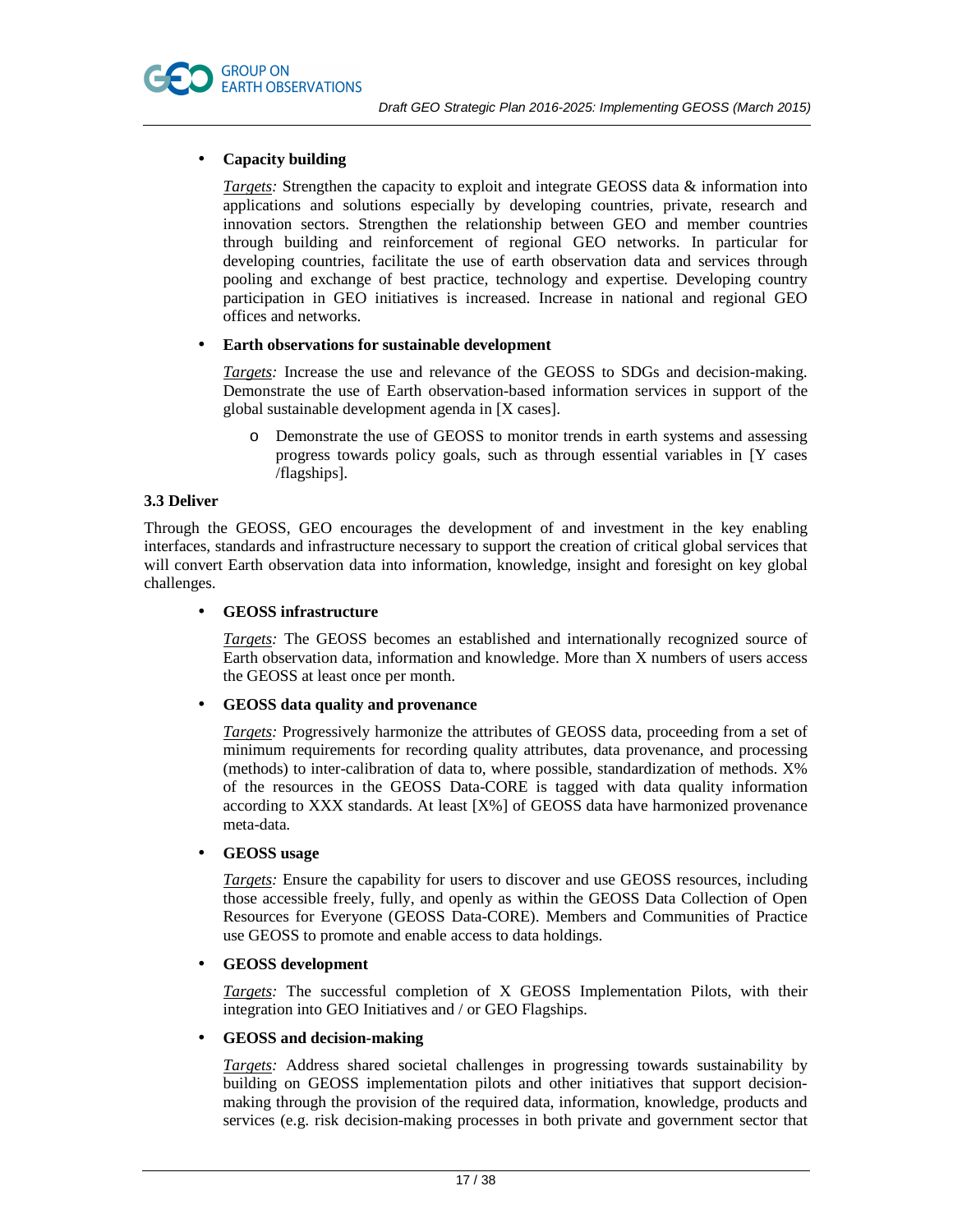

# • **Capacity building**

*Targets:* Strengthen the capacity to exploit and integrate GEOSS data & information into applications and solutions especially by developing countries, private, research and innovation sectors. Strengthen the relationship between GEO and member countries through building and reinforcement of regional GEO networks. In particular for developing countries, facilitate the use of earth observation data and services through pooling and exchange of best practice, technology and expertise. Developing country participation in GEO initiatives is increased. Increase in national and regional GEO offices and networks.

# • **Earth observations for sustainable development**

*Targets:* Increase the use and relevance of the GEOSS to SDGs and decision-making. Demonstrate the use of Earth observation-based information services in support of the global sustainable development agenda in [X cases].

o Demonstrate the use of GEOSS to monitor trends in earth systems and assessing progress towards policy goals, such as through essential variables in [Y cases /flagships].

# **3.3 Deliver**

Through the GEOSS, GEO encourages the development of and investment in the key enabling interfaces, standards and infrastructure necessary to support the creation of critical global services that will convert Earth observation data into information, knowledge, insight and foresight on key global challenges.

#### • **GEOSS infrastructure**

*Targets:* The GEOSS becomes an established and internationally recognized source of Earth observation data, information and knowledge. More than X numbers of users access the GEOSS at least once per month.

# • **GEOSS data quality and provenance**

*Targets:* Progressively harmonize the attributes of GEOSS data, proceeding from a set of minimum requirements for recording quality attributes, data provenance, and processing (methods) to inter-calibration of data to, where possible, standardization of methods. X% of the resources in the GEOSS Data-CORE is tagged with data quality information according to XXX standards. At least [X%] of GEOSS data have harmonized provenance meta-data.

#### • **GEOSS usage**

*Targets:* Ensure the capability for users to discover and use GEOSS resources, including those accessible freely, fully, and openly as within the GEOSS Data Collection of Open Resources for Everyone (GEOSS Data-CORE). Members and Communities of Practice use GEOSS to promote and enable access to data holdings.

# • **GEOSS development**

*Targets:* The successful completion of X GEOSS Implementation Pilots, with their integration into GEO Initiatives and / or GEO Flagships.

#### • **GEOSS and decision-making**

*Targets:* Address shared societal challenges in progressing towards sustainability by building on GEOSS implementation pilots and other initiatives that support decisionmaking through the provision of the required data, information, knowledge, products and services (e.g. risk decision-making processes in both private and government sector that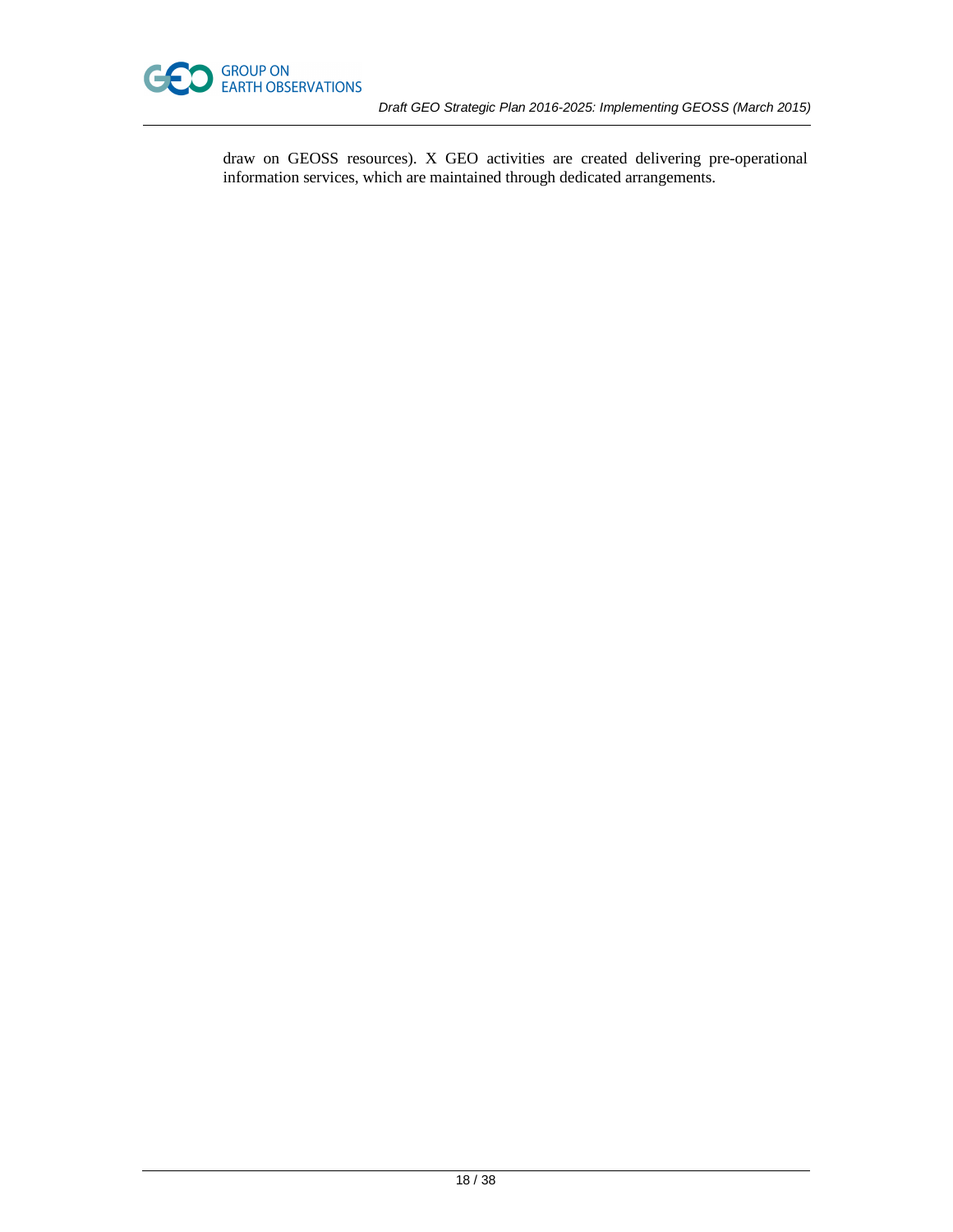

draw on GEOSS resources). X GEO activities are created delivering pre-operational information services, which are maintained through dedicated arrangements.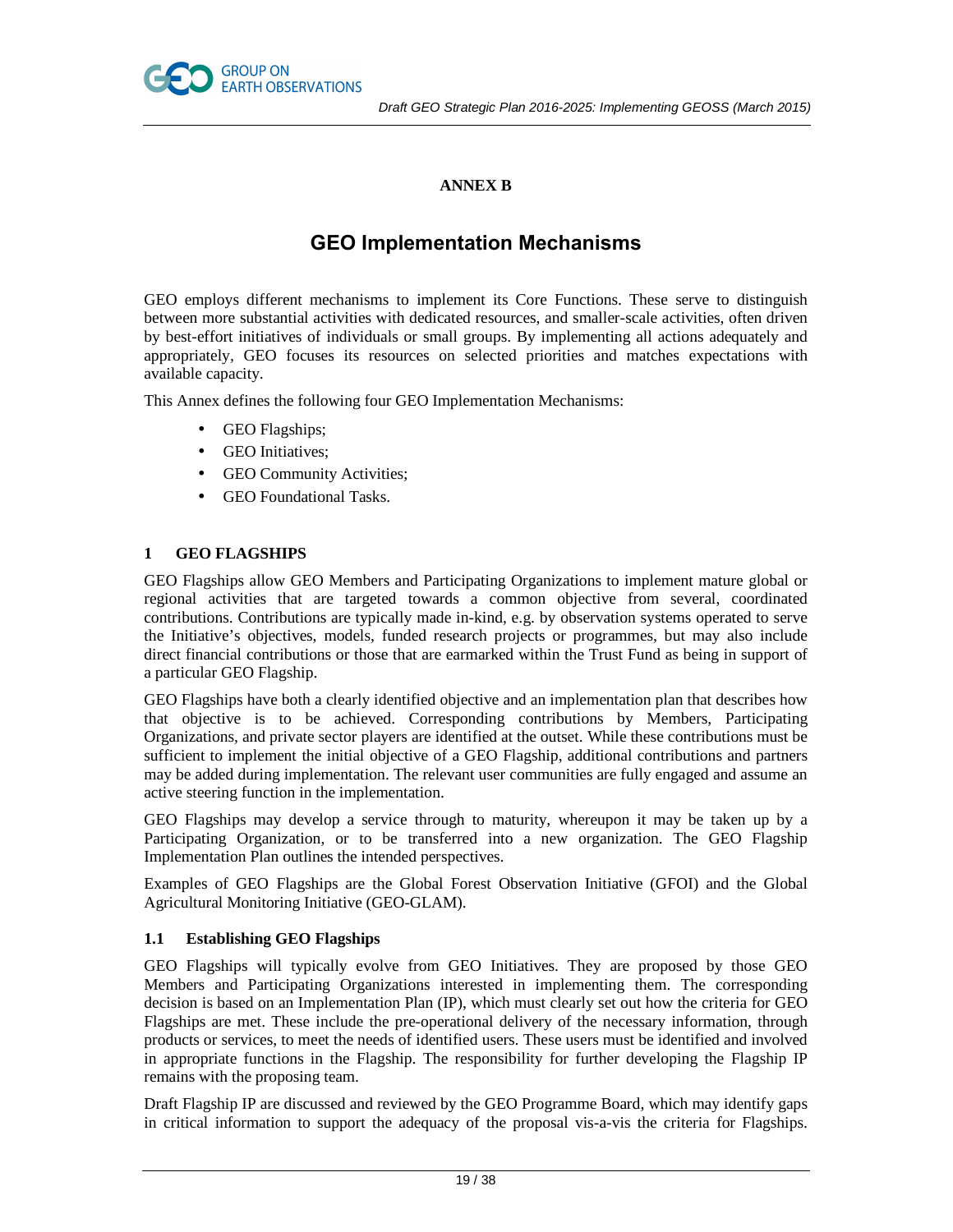

# **ANNEX B**

# **GEO Implementation Mechanisms**

GEO employs different mechanisms to implement its Core Functions. These serve to distinguish between more substantial activities with dedicated resources, and smaller-scale activities, often driven by best-effort initiatives of individuals or small groups. By implementing all actions adequately and appropriately, GEO focuses its resources on selected priorities and matches expectations with available capacity.

This Annex defines the following four GEO Implementation Mechanisms:

- GEO Flagships;
- GEO Initiatives;
- GEO Community Activities;
- GEO Foundational Tasks.

# **1 GEO FLAGSHIPS**

GEO Flagships allow GEO Members and Participating Organizations to implement mature global or regional activities that are targeted towards a common objective from several, coordinated contributions. Contributions are typically made in-kind, e.g. by observation systems operated to serve the Initiative's objectives, models, funded research projects or programmes, but may also include direct financial contributions or those that are earmarked within the Trust Fund as being in support of a particular GEO Flagship.

GEO Flagships have both a clearly identified objective and an implementation plan that describes how that objective is to be achieved. Corresponding contributions by Members, Participating Organizations, and private sector players are identified at the outset. While these contributions must be sufficient to implement the initial objective of a GEO Flagship, additional contributions and partners may be added during implementation. The relevant user communities are fully engaged and assume an active steering function in the implementation.

GEO Flagships may develop a service through to maturity, whereupon it may be taken up by a Participating Organization, or to be transferred into a new organization. The GEO Flagship Implementation Plan outlines the intended perspectives.

Examples of GEO Flagships are the Global Forest Observation Initiative (GFOI) and the Global Agricultural Monitoring Initiative (GEO-GLAM).

# **1.1 Establishing GEO Flagships**

GEO Flagships will typically evolve from GEO Initiatives. They are proposed by those GEO Members and Participating Organizations interested in implementing them. The corresponding decision is based on an Implementation Plan (IP), which must clearly set out how the criteria for GEO Flagships are met. These include the pre-operational delivery of the necessary information, through products or services, to meet the needs of identified users. These users must be identified and involved in appropriate functions in the Flagship. The responsibility for further developing the Flagship IP remains with the proposing team.

Draft Flagship IP are discussed and reviewed by the GEO Programme Board, which may identify gaps in critical information to support the adequacy of the proposal vis-a-vis the criteria for Flagships.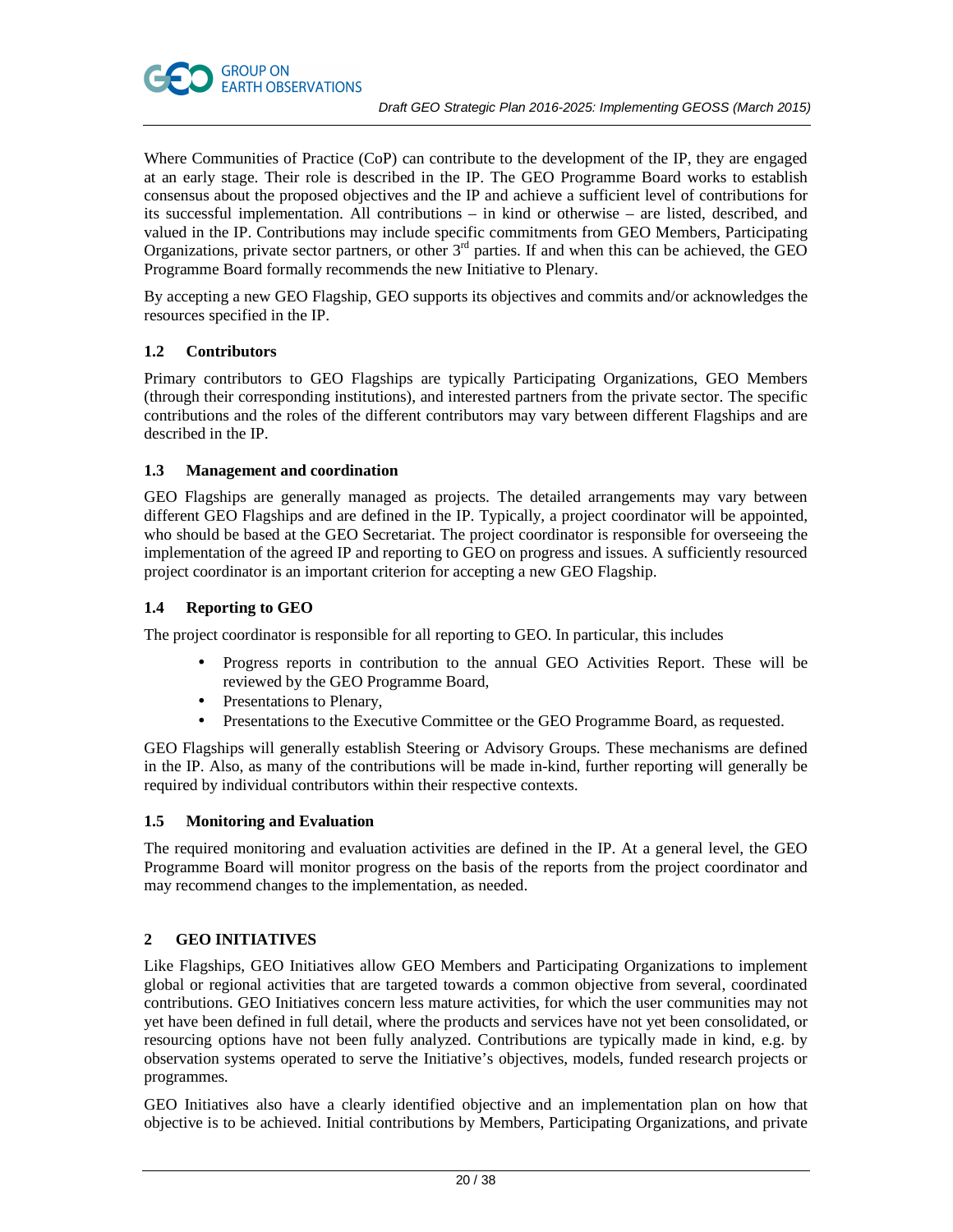

Where Communities of Practice (CoP) can contribute to the development of the IP, they are engaged at an early stage. Their role is described in the IP. The GEO Programme Board works to establish consensus about the proposed objectives and the IP and achieve a sufficient level of contributions for its successful implementation. All contributions – in kind or otherwise – are listed, described, and valued in the IP. Contributions may include specific commitments from GEO Members, Participating Organizations, private sector partners, or other  $3<sup>rd</sup>$  parties. If and when this can be achieved, the GEO Programme Board formally recommends the new Initiative to Plenary.

By accepting a new GEO Flagship, GEO supports its objectives and commits and/or acknowledges the resources specified in the IP.

# **1.2 Contributors**

Primary contributors to GEO Flagships are typically Participating Organizations, GEO Members (through their corresponding institutions), and interested partners from the private sector. The specific contributions and the roles of the different contributors may vary between different Flagships and are described in the IP.

# **1.3 Management and coordination**

GEO Flagships are generally managed as projects. The detailed arrangements may vary between different GEO Flagships and are defined in the IP. Typically, a project coordinator will be appointed, who should be based at the GEO Secretariat. The project coordinator is responsible for overseeing the implementation of the agreed IP and reporting to GEO on progress and issues. A sufficiently resourced project coordinator is an important criterion for accepting a new GEO Flagship.

# **1.4 Reporting to GEO**

The project coordinator is responsible for all reporting to GEO. In particular, this includes

- Progress reports in contribution to the annual GEO Activities Report. These will be reviewed by the GEO Programme Board,
- Presentations to Plenary,
- Presentations to the Executive Committee or the GEO Programme Board, as requested.

GEO Flagships will generally establish Steering or Advisory Groups. These mechanisms are defined in the IP. Also, as many of the contributions will be made in-kind, further reporting will generally be required by individual contributors within their respective contexts.

# **1.5 Monitoring and Evaluation**

The required monitoring and evaluation activities are defined in the IP. At a general level, the GEO Programme Board will monitor progress on the basis of the reports from the project coordinator and may recommend changes to the implementation, as needed.

# **2 GEO INITIATIVES**

Like Flagships, GEO Initiatives allow GEO Members and Participating Organizations to implement global or regional activities that are targeted towards a common objective from several, coordinated contributions. GEO Initiatives concern less mature activities, for which the user communities may not yet have been defined in full detail, where the products and services have not yet been consolidated, or resourcing options have not been fully analyzed. Contributions are typically made in kind, e.g. by observation systems operated to serve the Initiative's objectives, models, funded research projects or programmes.

GEO Initiatives also have a clearly identified objective and an implementation plan on how that objective is to be achieved. Initial contributions by Members, Participating Organizations, and private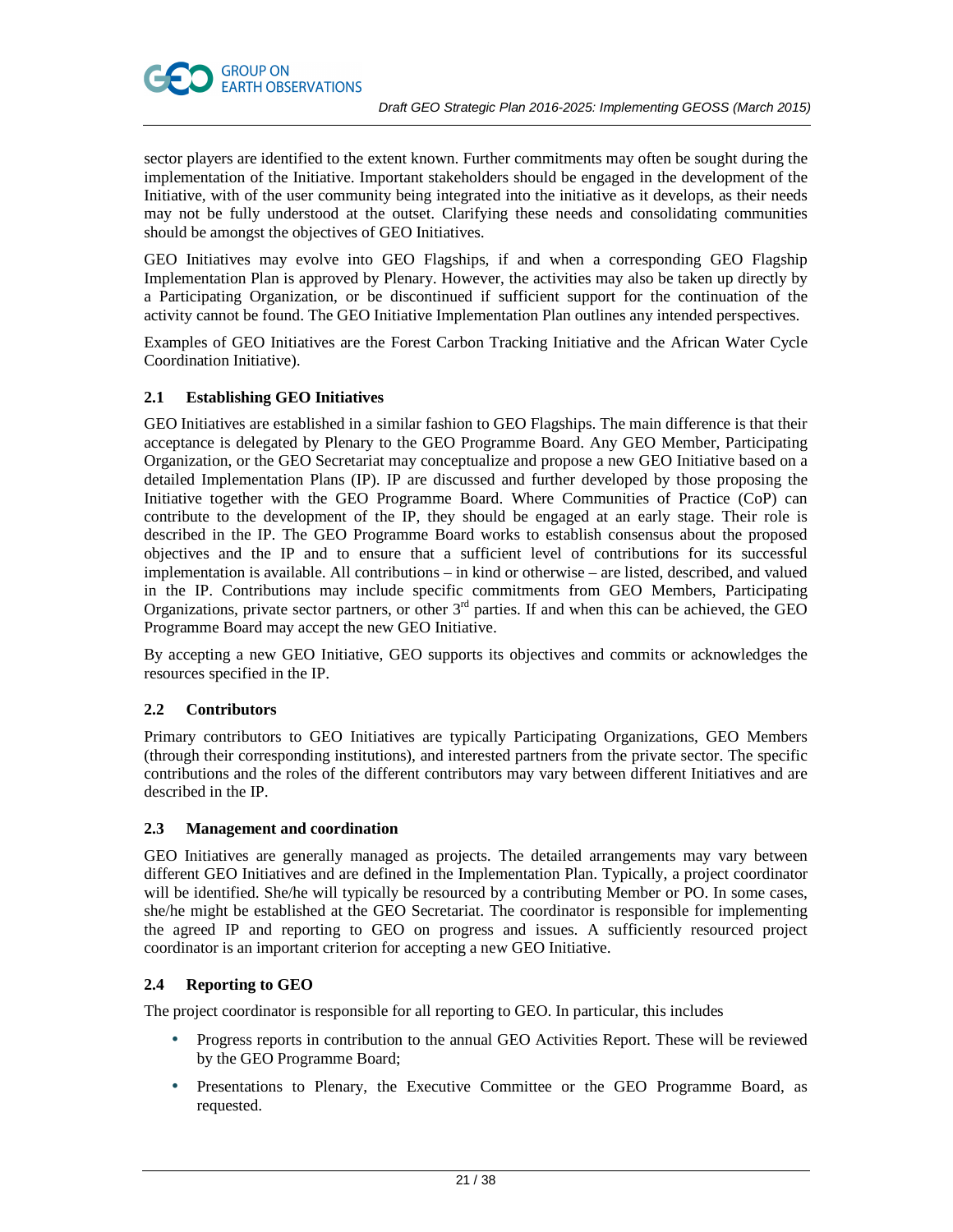



GEO Initiatives may evolve into GEO Flagships, if and when a corresponding GEO Flagship Implementation Plan is approved by Plenary. However, the activities may also be taken up directly by a Participating Organization, or be discontinued if sufficient support for the continuation of the activity cannot be found. The GEO Initiative Implementation Plan outlines any intended perspectives.

Examples of GEO Initiatives are the Forest Carbon Tracking Initiative and the African Water Cycle Coordination Initiative).

# **2.1 Establishing GEO Initiatives**

**GROUP ON** 

GEO Initiatives are established in a similar fashion to GEO Flagships. The main difference is that their acceptance is delegated by Plenary to the GEO Programme Board. Any GEO Member, Participating Organization, or the GEO Secretariat may conceptualize and propose a new GEO Initiative based on a detailed Implementation Plans (IP). IP are discussed and further developed by those proposing the Initiative together with the GEO Programme Board. Where Communities of Practice (CoP) can contribute to the development of the IP, they should be engaged at an early stage. Their role is described in the IP. The GEO Programme Board works to establish consensus about the proposed objectives and the IP and to ensure that a sufficient level of contributions for its successful implementation is available. All contributions – in kind or otherwise – are listed, described, and valued in the IP. Contributions may include specific commitments from GEO Members, Participating Organizations, private sector partners, or other 3<sup>rd</sup> parties. If and when this can be achieved, the GEO Programme Board may accept the new GEO Initiative.

By accepting a new GEO Initiative, GEO supports its objectives and commits or acknowledges the resources specified in the IP.

# **2.2 Contributors**

Primary contributors to GEO Initiatives are typically Participating Organizations, GEO Members (through their corresponding institutions), and interested partners from the private sector. The specific contributions and the roles of the different contributors may vary between different Initiatives and are described in the IP.

# **2.3 Management and coordination**

GEO Initiatives are generally managed as projects. The detailed arrangements may vary between different GEO Initiatives and are defined in the Implementation Plan. Typically, a project coordinator will be identified. She/he will typically be resourced by a contributing Member or PO. In some cases, she/he might be established at the GEO Secretariat. The coordinator is responsible for implementing the agreed IP and reporting to GEO on progress and issues. A sufficiently resourced project coordinator is an important criterion for accepting a new GEO Initiative.

# **2.4 Reporting to GEO**

The project coordinator is responsible for all reporting to GEO. In particular, this includes

- Progress reports in contribution to the annual GEO Activities Report. These will be reviewed by the GEO Programme Board;
- Presentations to Plenary, the Executive Committee or the GEO Programme Board, as requested.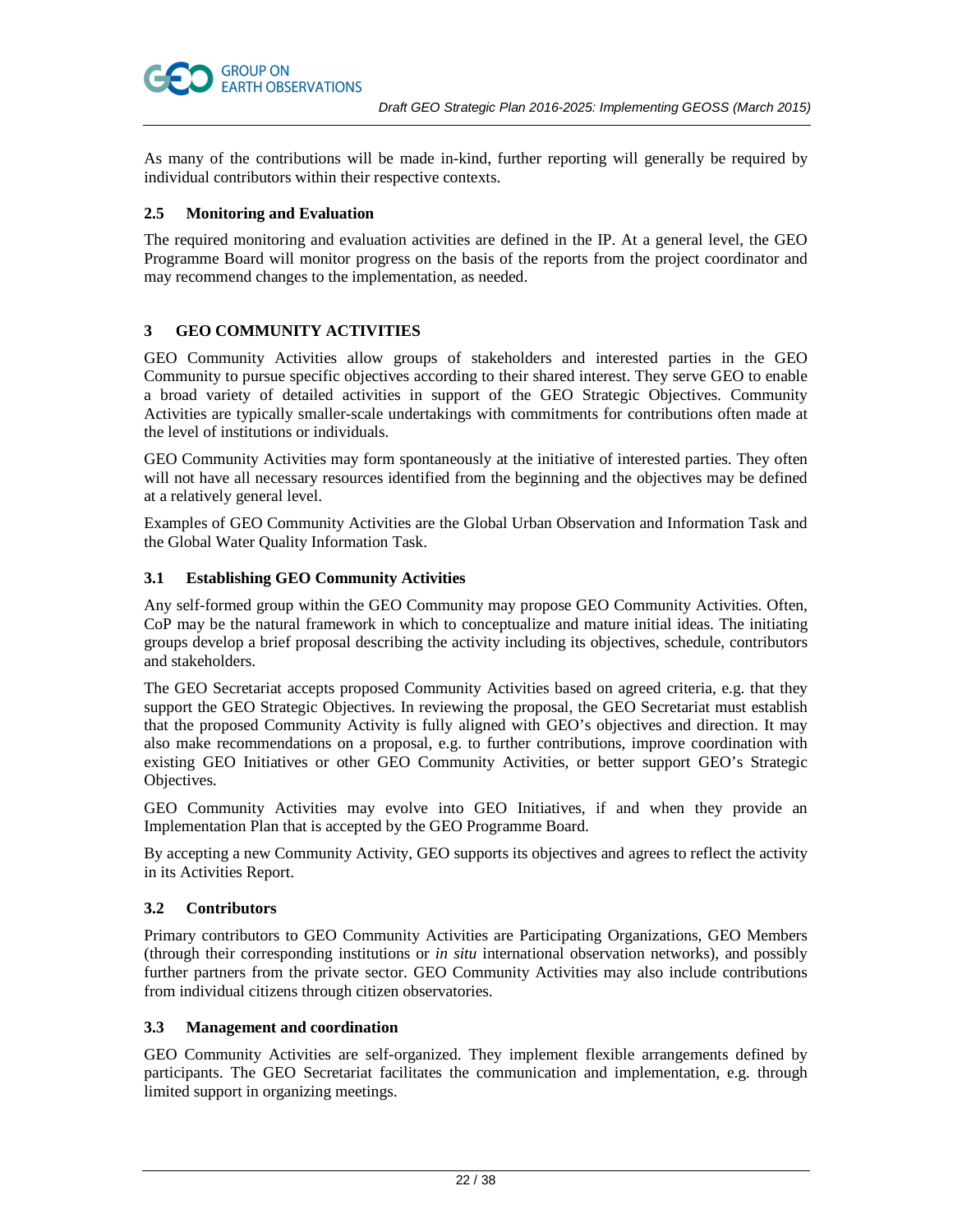

# **2.5 Monitoring and Evaluation**

**GROUP ON** 

**EARTH OBSERVATIONS** 

The required monitoring and evaluation activities are defined in the IP. At a general level, the GEO Programme Board will monitor progress on the basis of the reports from the project coordinator and may recommend changes to the implementation, as needed.

# **3 GEO COMMUNITY ACTIVITIES**

GEO Community Activities allow groups of stakeholders and interested parties in the GEO Community to pursue specific objectives according to their shared interest. They serve GEO to enable a broad variety of detailed activities in support of the GEO Strategic Objectives. Community Activities are typically smaller-scale undertakings with commitments for contributions often made at the level of institutions or individuals.

GEO Community Activities may form spontaneously at the initiative of interested parties. They often will not have all necessary resources identified from the beginning and the objectives may be defined at a relatively general level.

Examples of GEO Community Activities are the Global Urban Observation and Information Task and the Global Water Quality Information Task.

# **3.1 Establishing GEO Community Activities**

Any self-formed group within the GEO Community may propose GEO Community Activities. Often, CoP may be the natural framework in which to conceptualize and mature initial ideas. The initiating groups develop a brief proposal describing the activity including its objectives, schedule, contributors and stakeholders.

The GEO Secretariat accepts proposed Community Activities based on agreed criteria, e.g. that they support the GEO Strategic Objectives. In reviewing the proposal, the GEO Secretariat must establish that the proposed Community Activity is fully aligned with GEO's objectives and direction. It may also make recommendations on a proposal, e.g. to further contributions, improve coordination with existing GEO Initiatives or other GEO Community Activities, or better support GEO's Strategic Objectives.

GEO Community Activities may evolve into GEO Initiatives, if and when they provide an Implementation Plan that is accepted by the GEO Programme Board.

By accepting a new Community Activity, GEO supports its objectives and agrees to reflect the activity in its Activities Report.

# **3.2 Contributors**

Primary contributors to GEO Community Activities are Participating Organizations, GEO Members (through their corresponding institutions or *in situ* international observation networks), and possibly further partners from the private sector. GEO Community Activities may also include contributions from individual citizens through citizen observatories.

# **3.3 Management and coordination**

GEO Community Activities are self-organized. They implement flexible arrangements defined by participants. The GEO Secretariat facilitates the communication and implementation, e.g. through limited support in organizing meetings.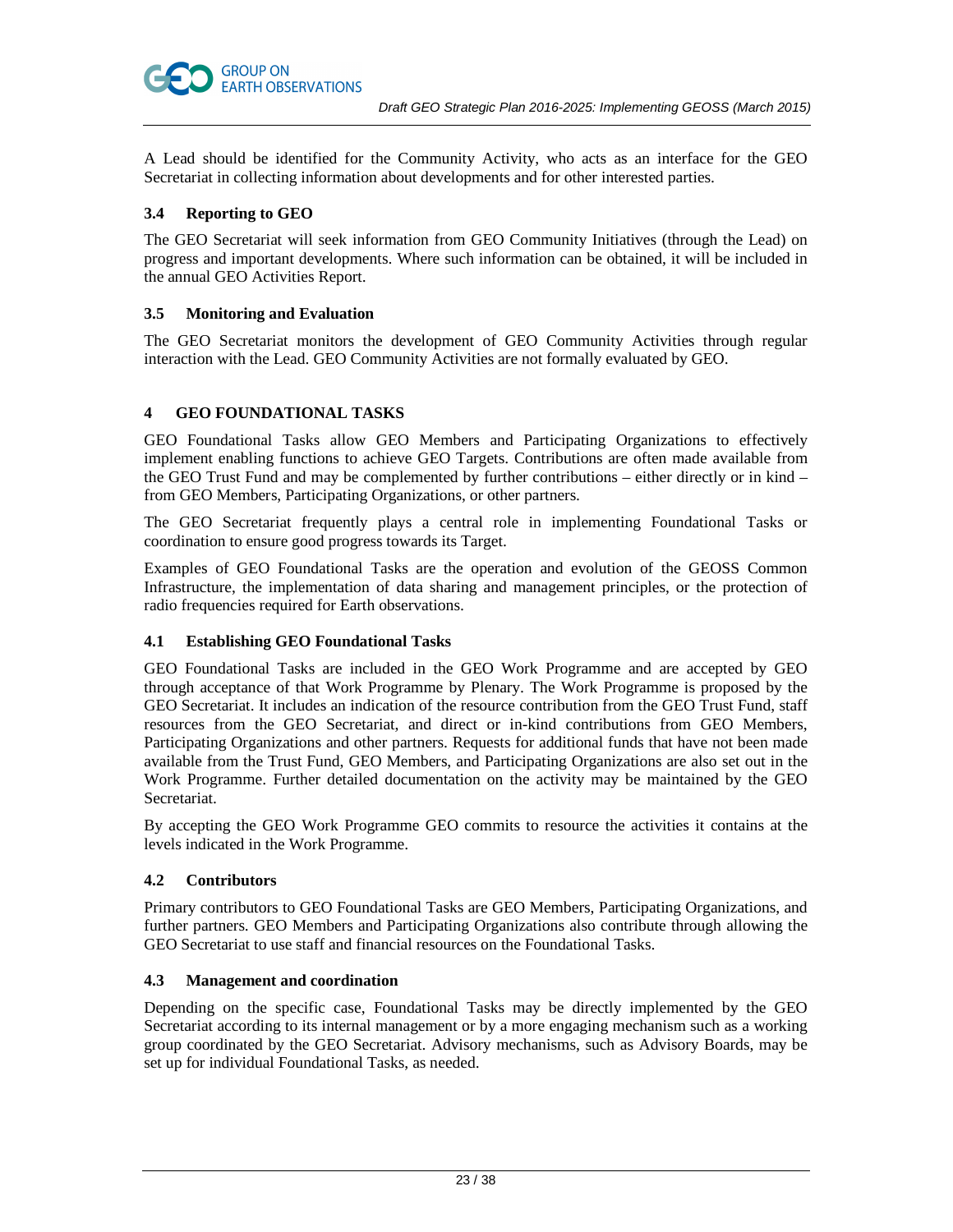

A Lead should be identified for the Community Activity, who acts as an interface for the GEO Secretariat in collecting information about developments and for other interested parties.

# **3.4 Reporting to GEO**

The GEO Secretariat will seek information from GEO Community Initiatives (through the Lead) on progress and important developments. Where such information can be obtained, it will be included in the annual GEO Activities Report.

# **3.5 Monitoring and Evaluation**

The GEO Secretariat monitors the development of GEO Community Activities through regular interaction with the Lead. GEO Community Activities are not formally evaluated by GEO.

# **4 GEO FOUNDATIONAL TASKS**

GEO Foundational Tasks allow GEO Members and Participating Organizations to effectively implement enabling functions to achieve GEO Targets. Contributions are often made available from the GEO Trust Fund and may be complemented by further contributions – either directly or in kind – from GEO Members, Participating Organizations, or other partners.

The GEO Secretariat frequently plays a central role in implementing Foundational Tasks or coordination to ensure good progress towards its Target.

Examples of GEO Foundational Tasks are the operation and evolution of the GEOSS Common Infrastructure, the implementation of data sharing and management principles, or the protection of radio frequencies required for Earth observations.

# **4.1 Establishing GEO Foundational Tasks**

GEO Foundational Tasks are included in the GEO Work Programme and are accepted by GEO through acceptance of that Work Programme by Plenary. The Work Programme is proposed by the GEO Secretariat. It includes an indication of the resource contribution from the GEO Trust Fund, staff resources from the GEO Secretariat, and direct or in-kind contributions from GEO Members, Participating Organizations and other partners. Requests for additional funds that have not been made available from the Trust Fund, GEO Members, and Participating Organizations are also set out in the Work Programme. Further detailed documentation on the activity may be maintained by the GEO Secretariat.

By accepting the GEO Work Programme GEO commits to resource the activities it contains at the levels indicated in the Work Programme.

# **4.2 Contributors**

Primary contributors to GEO Foundational Tasks are GEO Members, Participating Organizations, and further partners. GEO Members and Participating Organizations also contribute through allowing the GEO Secretariat to use staff and financial resources on the Foundational Tasks.

# **4.3 Management and coordination**

Depending on the specific case, Foundational Tasks may be directly implemented by the GEO Secretariat according to its internal management or by a more engaging mechanism such as a working group coordinated by the GEO Secretariat. Advisory mechanisms, such as Advisory Boards, may be set up for individual Foundational Tasks, as needed.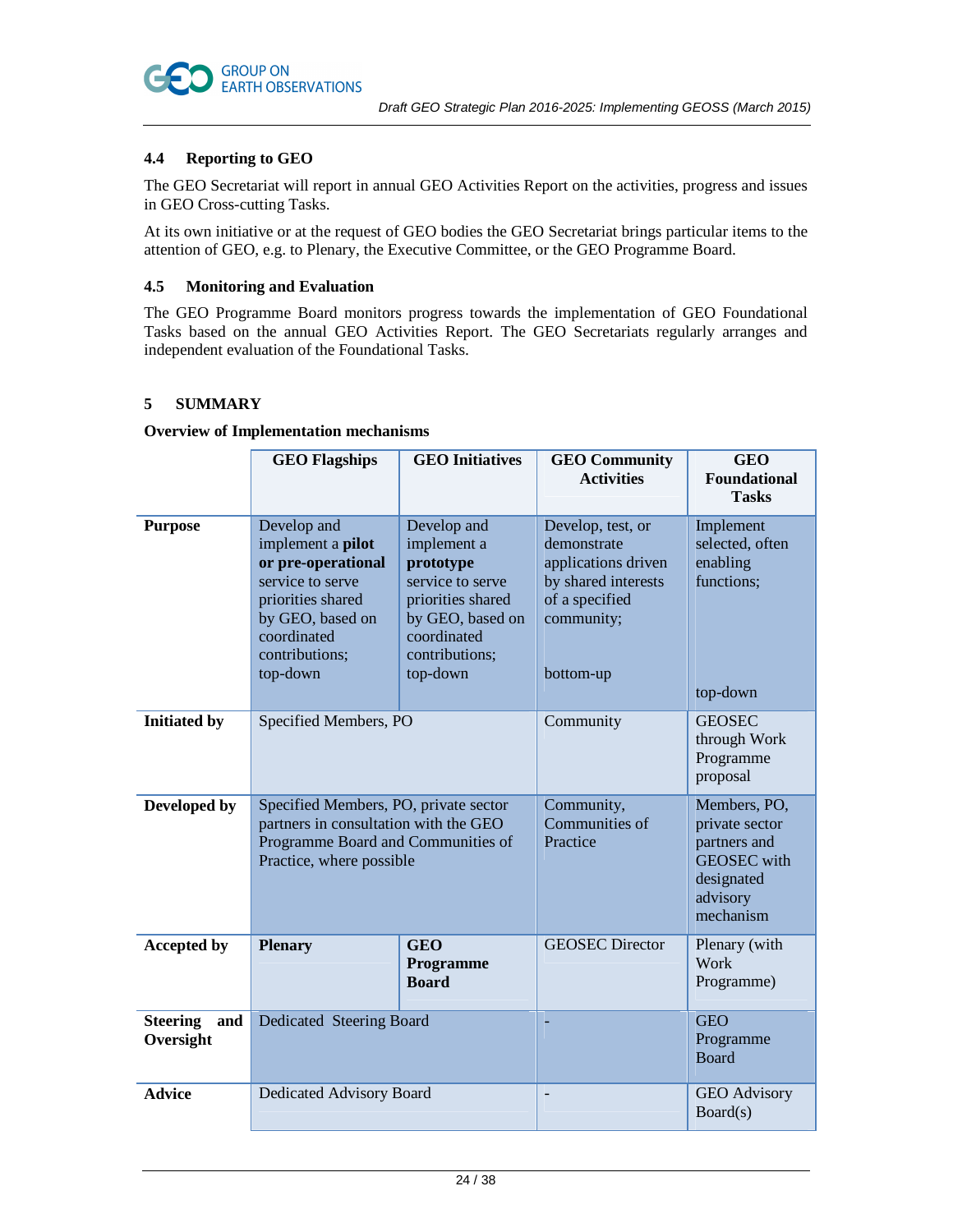

# **4.4 Reporting to GEO**

The GEO Secretariat will report in annual GEO Activities Report on the activities, progress and issues in GEO Cross-cutting Tasks.

At its own initiative or at the request of GEO bodies the GEO Secretariat brings particular items to the attention of GEO, e.g. to Plenary, the Executive Committee, or the GEO Programme Board.

# **4.5 Monitoring and Evaluation**

The GEO Programme Board monitors progress towards the implementation of GEO Foundational Tasks based on the annual GEO Activities Report. The GEO Secretariats regularly arranges and independent evaluation of the Foundational Tasks.

# **5 SUMMARY**

### **Overview of Implementation mechanisms**

|                                     | <b>GEO Flagships</b>                                                                                                                                                    | <b>GEO</b> Initiatives                                                                                                                            | <b>GEO Community</b><br><b>Activities</b>                                                                                   | <b>GEO</b><br><b>Foundational</b><br><b>Tasks</b>                                                           |
|-------------------------------------|-------------------------------------------------------------------------------------------------------------------------------------------------------------------------|---------------------------------------------------------------------------------------------------------------------------------------------------|-----------------------------------------------------------------------------------------------------------------------------|-------------------------------------------------------------------------------------------------------------|
| <b>Purpose</b>                      | Develop and<br>implement a <b>pilot</b><br>or pre-operational<br>service to serve<br>priorities shared<br>by GEO, based on<br>coordinated<br>contributions;<br>top-down | Develop and<br>implement a<br>prototype<br>service to serve<br>priorities shared<br>by GEO, based on<br>coordinated<br>contributions;<br>top-down | Develop, test, or<br>demonstrate<br>applications driven<br>by shared interests<br>of a specified<br>community;<br>bottom-up | Implement<br>selected, often<br>enabling<br>functions;<br>top-down                                          |
| <b>Initiated by</b>                 | Specified Members, PO                                                                                                                                                   |                                                                                                                                                   | Community                                                                                                                   | <b>GEOSEC</b><br>through Work<br>Programme<br>proposal                                                      |
| Developed by                        | Specified Members, PO, private sector<br>partners in consultation with the GEO<br>Programme Board and Communities of<br>Practice, where possible                        |                                                                                                                                                   | Community,<br>Communities of<br>Practice                                                                                    | Members, PO,<br>private sector<br>partners and<br><b>GEOSEC</b> with<br>designated<br>advisory<br>mechanism |
| <b>Accepted by</b>                  | <b>Plenary</b>                                                                                                                                                          | <b>GEO</b><br>Programme<br><b>Board</b>                                                                                                           | <b>GEOSEC Director</b>                                                                                                      | Plenary (with<br>Work<br>Programme)                                                                         |
| <b>Steering</b><br>and<br>Oversight | Dedicated Steering Board                                                                                                                                                |                                                                                                                                                   |                                                                                                                             | <b>GEO</b><br>Programme<br><b>Board</b>                                                                     |
| <b>Advice</b>                       | Dedicated Advisory Board                                                                                                                                                |                                                                                                                                                   |                                                                                                                             | <b>GEO</b> Advisory<br>Board(s)                                                                             |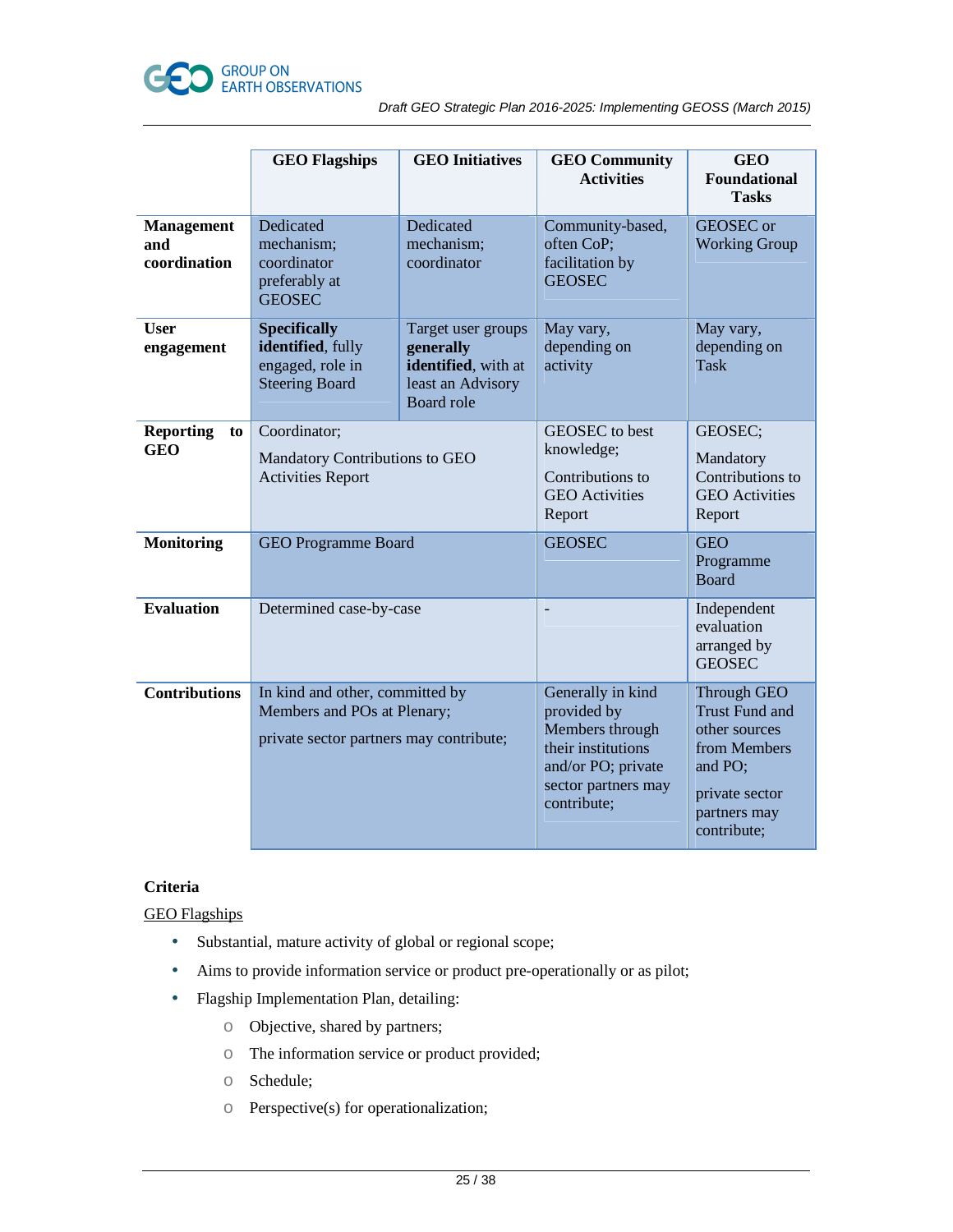

|                                          | <b>GEO Flagships</b>                                                                                      | <b>GEO</b> Initiatives                                                                           | <b>GEO Community</b>                                                                                                                  | <b>GEO</b>                                                                                                                        |
|------------------------------------------|-----------------------------------------------------------------------------------------------------------|--------------------------------------------------------------------------------------------------|---------------------------------------------------------------------------------------------------------------------------------------|-----------------------------------------------------------------------------------------------------------------------------------|
|                                          |                                                                                                           |                                                                                                  | <b>Activities</b>                                                                                                                     | <b>Foundational</b><br><b>Tasks</b>                                                                                               |
| <b>Management</b><br>and<br>coordination | Dedicated<br>mechanism;<br>coordinator<br>preferably at<br><b>GEOSEC</b>                                  | Dedicated<br>mechanism;<br>coordinator                                                           | Community-based,<br>often CoP;<br>facilitation by<br><b>GEOSEC</b>                                                                    | <b>GEOSEC</b> or<br><b>Working Group</b>                                                                                          |
| <b>User</b><br>engagement                | <b>Specifically</b><br>identified, fully<br>engaged, role in<br><b>Steering Board</b>                     | Target user groups<br>generally<br>identified, with at<br>least an Advisory<br><b>Board role</b> | May vary,<br>depending on<br>activity                                                                                                 | May vary,<br>depending on<br><b>Task</b>                                                                                          |
| <b>Reporting</b><br>to<br><b>GEO</b>     | Coordinator;<br>Mandatory Contributions to GEO<br><b>Activities Report</b>                                |                                                                                                  | GEOSEC to best<br>knowledge;<br>Contributions to<br><b>GEO</b> Activities<br>Report                                                   | GEOSEC;<br>Mandatory<br>Contributions to<br><b>GEO</b> Activities<br>Report                                                       |
| <b>Monitoring</b>                        | <b>GEO Programme Board</b>                                                                                |                                                                                                  | <b>GEOSEC</b>                                                                                                                         | <b>GEO</b><br>Programme<br><b>Board</b>                                                                                           |
| <b>Evaluation</b>                        | Determined case-by-case                                                                                   |                                                                                                  |                                                                                                                                       | Independent<br>evaluation<br>arranged by<br><b>GEOSEC</b>                                                                         |
| <b>Contributions</b>                     | In kind and other, committed by<br>Members and POs at Plenary;<br>private sector partners may contribute; |                                                                                                  | Generally in kind<br>provided by<br>Members through<br>their institutions<br>and/or PO; private<br>sector partners may<br>contribute; | Through GEO<br><b>Trust Fund and</b><br>other sources<br>from Members<br>and PO;<br>private sector<br>partners may<br>contribute; |

# **Criteria**

GEO Flagships

- Substantial, mature activity of global or regional scope;
- Aims to provide information service or product pre-operationally or as pilot;
- Flagship Implementation Plan, detailing:
	- o Objective, shared by partners;
	- o The information service or product provided;
	- o Schedule;
	- o Perspective(s) for operationalization;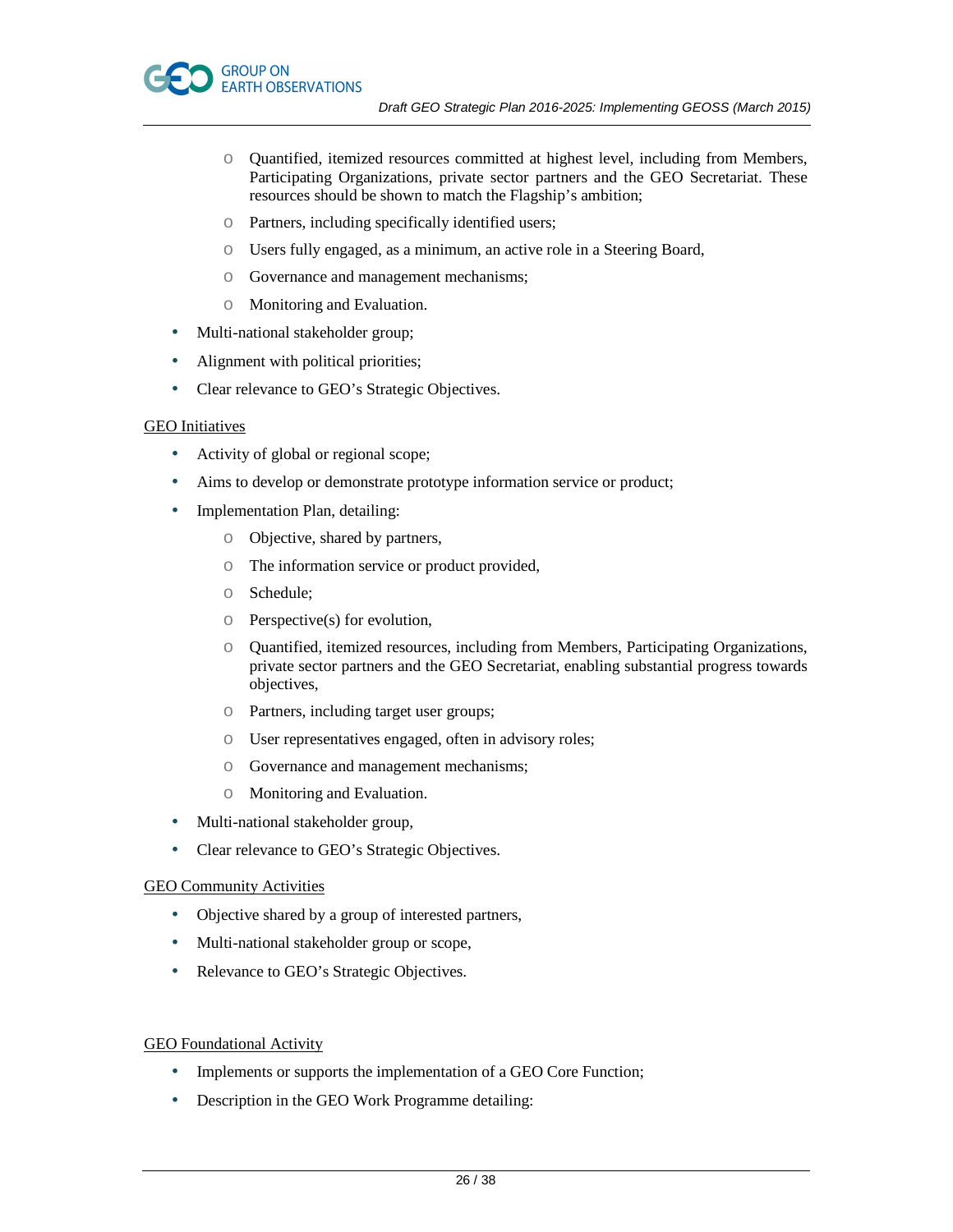

- o Quantified, itemized resources committed at highest level, including from Members, Participating Organizations, private sector partners and the GEO Secretariat. These resources should be shown to match the Flagship's ambition;
- o Partners, including specifically identified users;
- o Users fully engaged, as a minimum, an active role in a Steering Board,
- o Governance and management mechanisms;
- o Monitoring and Evaluation.
- Multi-national stakeholder group;
- Alignment with political priorities;
- Clear relevance to GEO's Strategic Objectives.

#### GEO Initiatives

- Activity of global or regional scope;
- Aims to develop or demonstrate prototype information service or product;
- Implementation Plan, detailing:
	- o Objective, shared by partners,
	- o The information service or product provided,
	- o Schedule;
	- $\circ$  Perspective(s) for evolution,
	- o Quantified, itemized resources, including from Members, Participating Organizations, private sector partners and the GEO Secretariat, enabling substantial progress towards objectives,
	- o Partners, including target user groups;
	- o User representatives engaged, often in advisory roles;
	- o Governance and management mechanisms;
	- o Monitoring and Evaluation.
- Multi-national stakeholder group,
- Clear relevance to GEO's Strategic Objectives.

#### GEO Community Activities

- Objective shared by a group of interested partners,
- Multi-national stakeholder group or scope,
- Relevance to GEO's Strategic Objectives.

# GEO Foundational Activity

- Implements or supports the implementation of a GEO Core Function;
- Description in the GEO Work Programme detailing: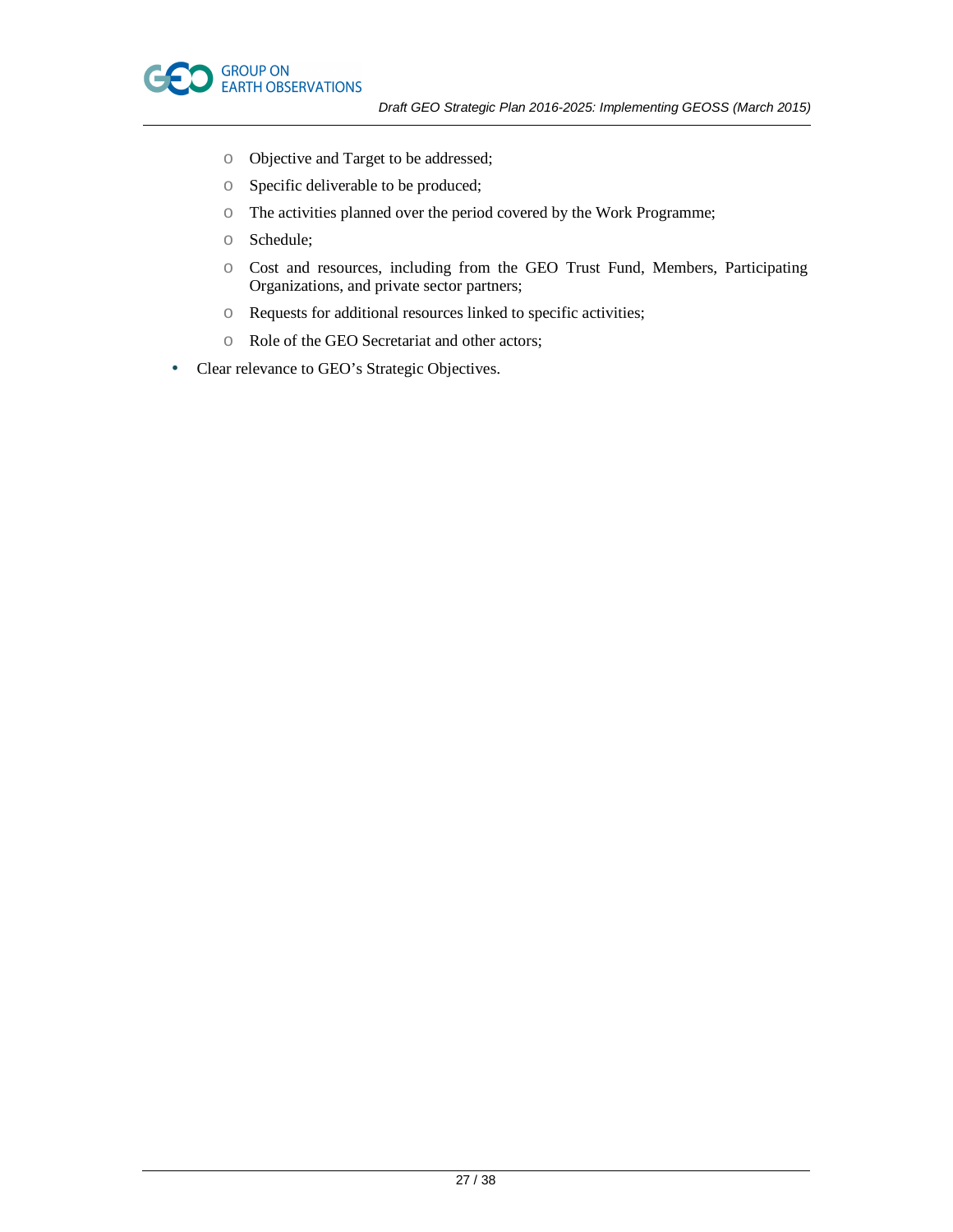

- o Objective and Target to be addressed;
- o Specific deliverable to be produced;
- o The activities planned over the period covered by the Work Programme;
- o Schedule;
- o Cost and resources, including from the GEO Trust Fund, Members, Participating Organizations, and private sector partners;
- o Requests for additional resources linked to specific activities;
- o Role of the GEO Secretariat and other actors;
- Clear relevance to GEO's Strategic Objectives.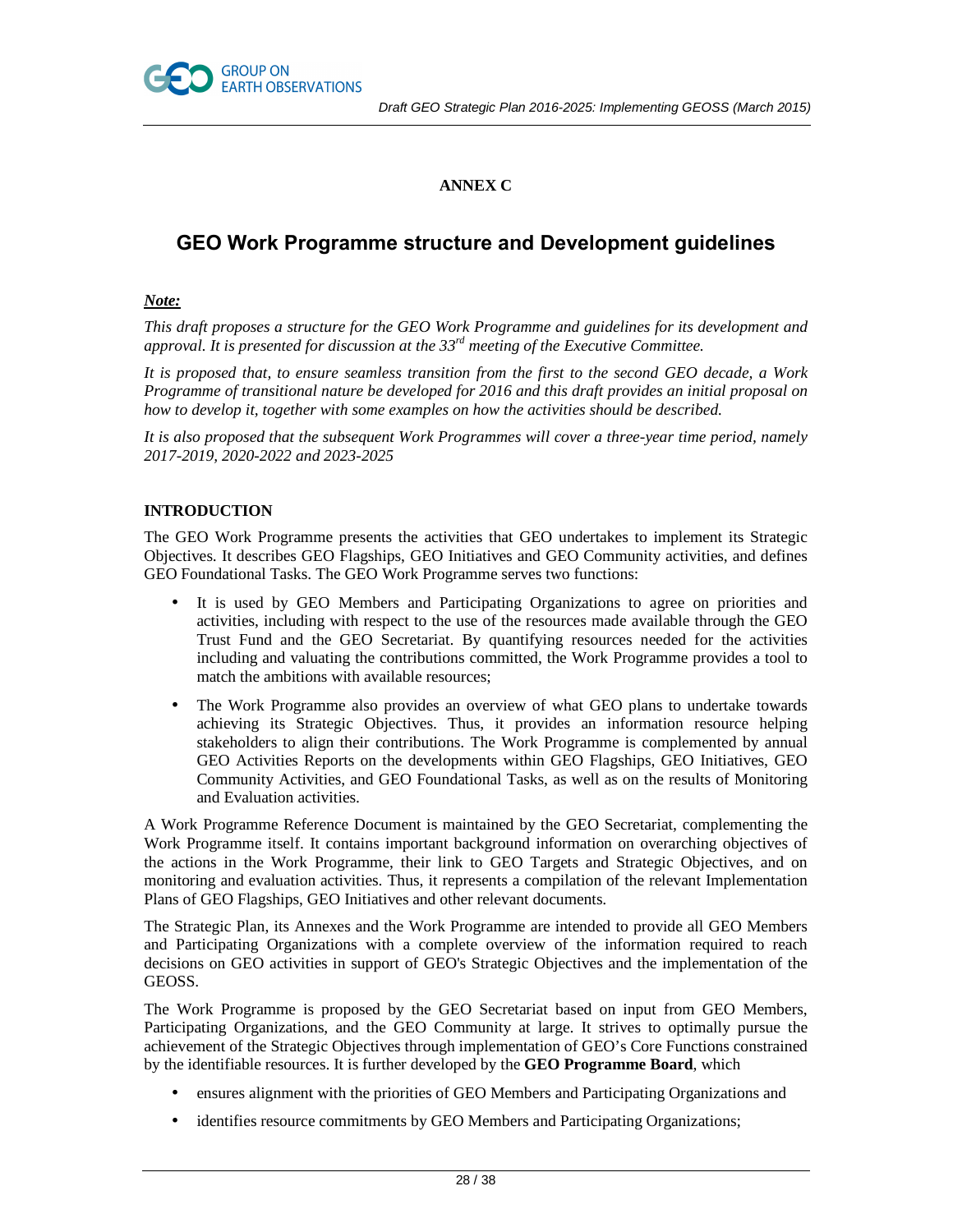

# **ANNEX C**

# **GEO Work Programme structure and Development guidelines**

# *Note:*

*This draft proposes a structure for the GEO Work Programme and guidelines for its development and approval. It is presented for discussion at the 33rd meeting of the Executive Committee.* 

*It is proposed that, to ensure seamless transition from the first to the second GEO decade, a Work Programme of transitional nature be developed for 2016 and this draft provides an initial proposal on how to develop it, together with some examples on how the activities should be described.* 

*It is also proposed that the subsequent Work Programmes will cover a three-year time period, namely 2017-2019, 2020-2022 and 2023-2025* 

# **INTRODUCTION**

The GEO Work Programme presents the activities that GEO undertakes to implement its Strategic Objectives. It describes GEO Flagships, GEO Initiatives and GEO Community activities, and defines GEO Foundational Tasks. The GEO Work Programme serves two functions:

- It is used by GEO Members and Participating Organizations to agree on priorities and activities, including with respect to the use of the resources made available through the GEO Trust Fund and the GEO Secretariat. By quantifying resources needed for the activities including and valuating the contributions committed, the Work Programme provides a tool to match the ambitions with available resources;
- The Work Programme also provides an overview of what GEO plans to undertake towards achieving its Strategic Objectives. Thus, it provides an information resource helping stakeholders to align their contributions. The Work Programme is complemented by annual GEO Activities Reports on the developments within GEO Flagships, GEO Initiatives, GEO Community Activities, and GEO Foundational Tasks, as well as on the results of Monitoring and Evaluation activities.

A Work Programme Reference Document is maintained by the GEO Secretariat, complementing the Work Programme itself. It contains important background information on overarching objectives of the actions in the Work Programme, their link to GEO Targets and Strategic Objectives, and on monitoring and evaluation activities. Thus, it represents a compilation of the relevant Implementation Plans of GEO Flagships, GEO Initiatives and other relevant documents.

The Strategic Plan, its Annexes and the Work Programme are intended to provide all GEO Members and Participating Organizations with a complete overview of the information required to reach decisions on GEO activities in support of GEO's Strategic Objectives and the implementation of the GEOSS.

The Work Programme is proposed by the GEO Secretariat based on input from GEO Members, Participating Organizations, and the GEO Community at large. It strives to optimally pursue the achievement of the Strategic Objectives through implementation of GEO's Core Functions constrained by the identifiable resources. It is further developed by the **GEO Programme Board**, which

- ensures alignment with the priorities of GEO Members and Participating Organizations and
- identifies resource commitments by GEO Members and Participating Organizations;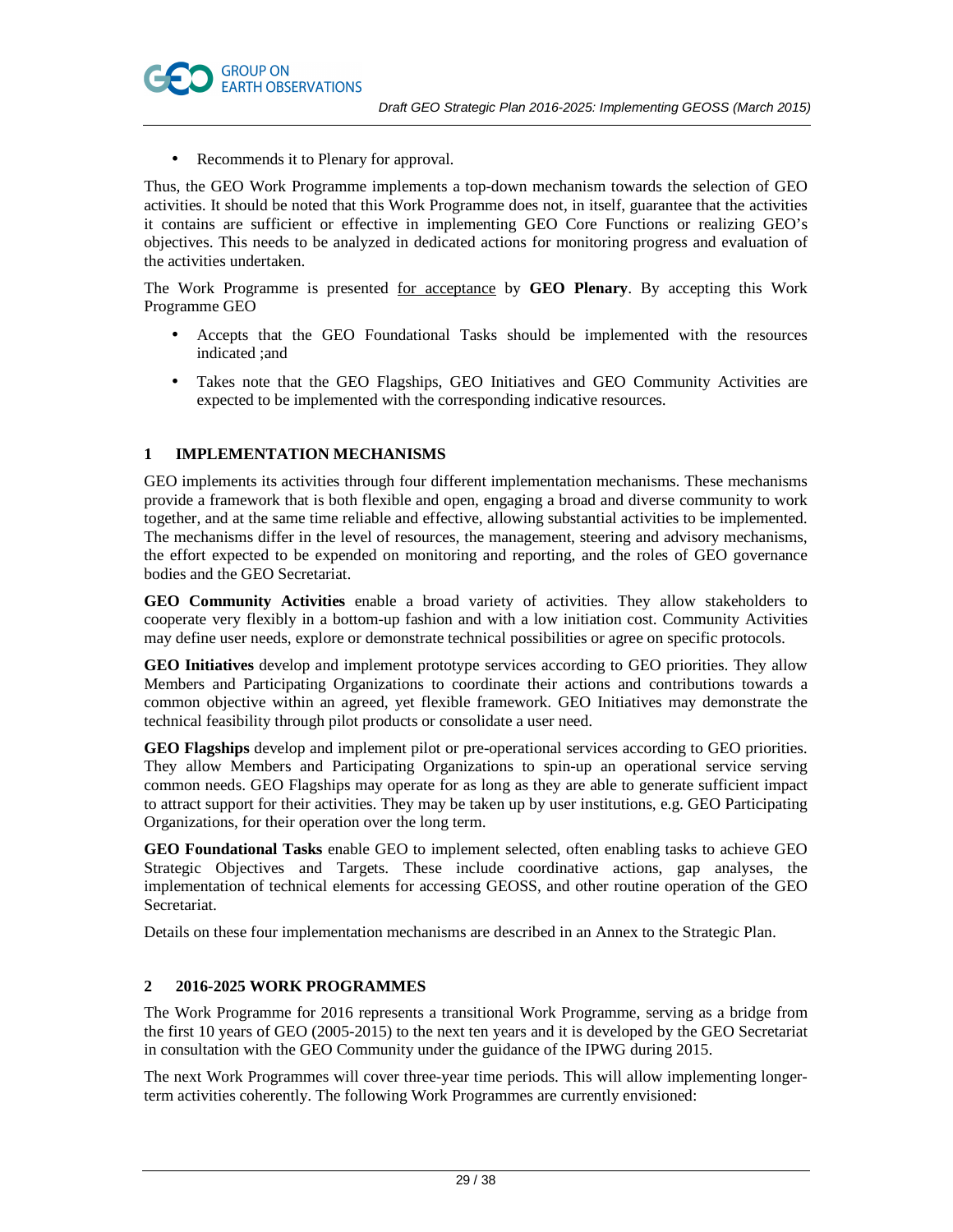

• Recommends it to Plenary for approval.

Thus, the GEO Work Programme implements a top-down mechanism towards the selection of GEO activities. It should be noted that this Work Programme does not, in itself, guarantee that the activities it contains are sufficient or effective in implementing GEO Core Functions or realizing GEO's objectives. This needs to be analyzed in dedicated actions for monitoring progress and evaluation of the activities undertaken.

The Work Programme is presented for acceptance by **GEO Plenary**. By accepting this Work Programme GEO

- Accepts that the GEO Foundational Tasks should be implemented with the resources indicated ;and
- Takes note that the GEO Flagships, GEO Initiatives and GEO Community Activities are expected to be implemented with the corresponding indicative resources.

# **1 IMPLEMENTATION MECHANISMS**

GEO implements its activities through four different implementation mechanisms. These mechanisms provide a framework that is both flexible and open, engaging a broad and diverse community to work together, and at the same time reliable and effective, allowing substantial activities to be implemented. The mechanisms differ in the level of resources, the management, steering and advisory mechanisms, the effort expected to be expended on monitoring and reporting, and the roles of GEO governance bodies and the GEO Secretariat.

**GEO Community Activities** enable a broad variety of activities. They allow stakeholders to cooperate very flexibly in a bottom-up fashion and with a low initiation cost. Community Activities may define user needs, explore or demonstrate technical possibilities or agree on specific protocols.

**GEO Initiatives** develop and implement prototype services according to GEO priorities. They allow Members and Participating Organizations to coordinate their actions and contributions towards a common objective within an agreed, yet flexible framework. GEO Initiatives may demonstrate the technical feasibility through pilot products or consolidate a user need.

**GEO Flagships** develop and implement pilot or pre-operational services according to GEO priorities. They allow Members and Participating Organizations to spin-up an operational service serving common needs. GEO Flagships may operate for as long as they are able to generate sufficient impact to attract support for their activities. They may be taken up by user institutions, e.g. GEO Participating Organizations, for their operation over the long term.

**GEO Foundational Tasks** enable GEO to implement selected, often enabling tasks to achieve GEO Strategic Objectives and Targets. These include coordinative actions, gap analyses, the implementation of technical elements for accessing GEOSS, and other routine operation of the GEO Secretariat.

Details on these four implementation mechanisms are described in an Annex to the Strategic Plan.

# **2 2016-2025 WORK PROGRAMMES**

The Work Programme for 2016 represents a transitional Work Programme, serving as a bridge from the first 10 years of GEO (2005-2015) to the next ten years and it is developed by the GEO Secretariat in consultation with the GEO Community under the guidance of the IPWG during 2015.

The next Work Programmes will cover three-year time periods. This will allow implementing longerterm activities coherently. The following Work Programmes are currently envisioned: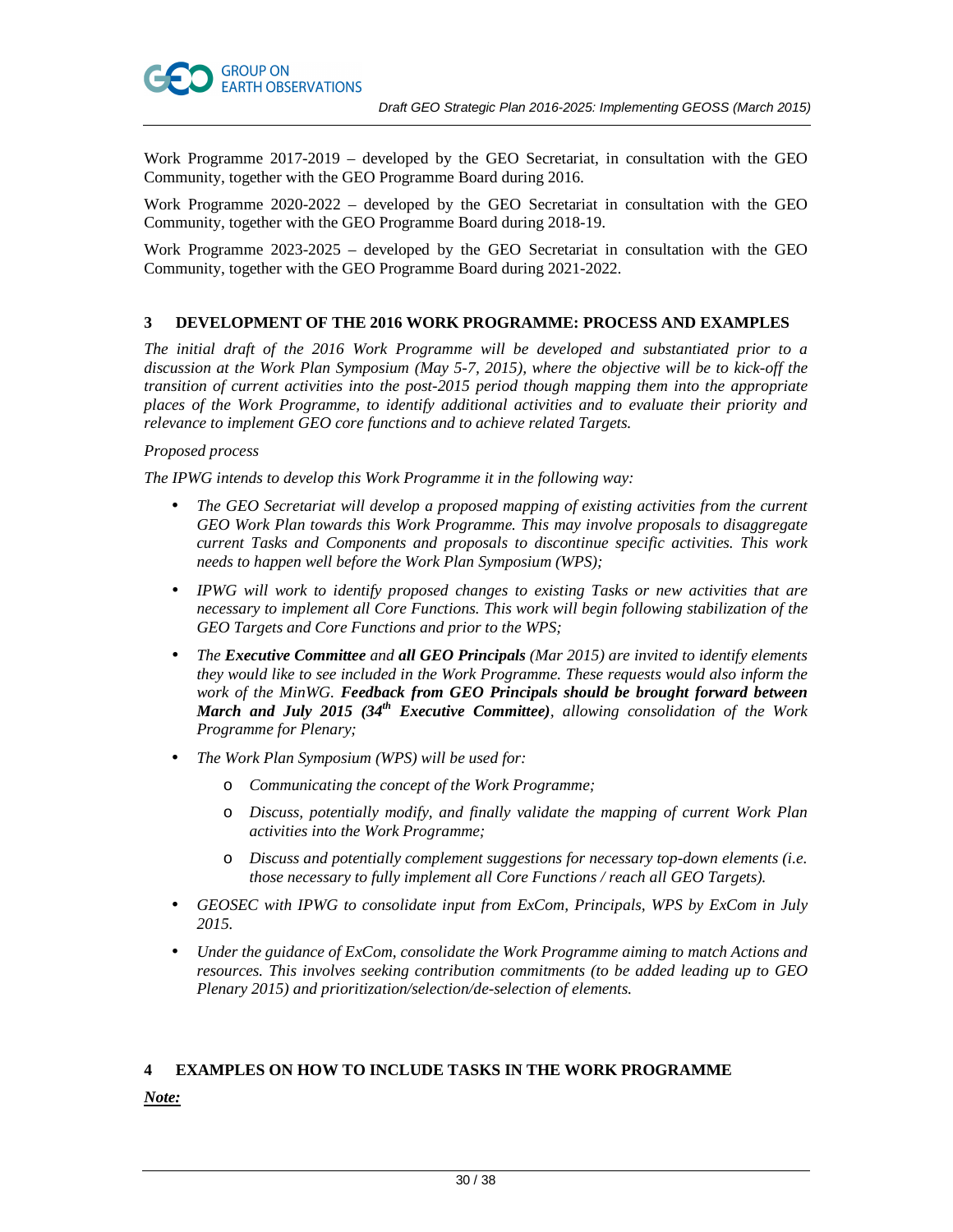

Work Programme 2017-2019 – developed by the GEO Secretariat, in consultation with the GEO Community, together with the GEO Programme Board during 2016.

Work Programme 2020-2022 – developed by the GEO Secretariat in consultation with the GEO Community, together with the GEO Programme Board during 2018-19.

Work Programme 2023-2025 – developed by the GEO Secretariat in consultation with the GEO Community, together with the GEO Programme Board during 2021-2022.

# **3 DEVELOPMENT OF THE 2016 WORK PROGRAMME: PROCESS AND EXAMPLES**

*The initial draft of the 2016 Work Programme will be developed and substantiated prior to a discussion at the Work Plan Symposium (May 5-7, 2015), where the objective will be to kick-off the transition of current activities into the post-2015 period though mapping them into the appropriate places of the Work Programme, to identify additional activities and to evaluate their priority and relevance to implement GEO core functions and to achieve related Targets.* 

# *Proposed process*

*The IPWG intends to develop this Work Programme it in the following way:* 

- *The GEO Secretariat will develop a proposed mapping of existing activities from the current GEO Work Plan towards this Work Programme. This may involve proposals to disaggregate current Tasks and Components and proposals to discontinue specific activities. This work needs to happen well before the Work Plan Symposium (WPS);*
- *IPWG will work to identify proposed changes to existing Tasks or new activities that are necessary to implement all Core Functions. This work will begin following stabilization of the GEO Targets and Core Functions and prior to the WPS;*
- *The Executive Committee and all GEO Principals (Mar 2015) are invited to identify elements they would like to see included in the Work Programme. These requests would also inform the work of the MinWG. Feedback from GEO Principals should be brought forward between March and July 2015 (34th Executive Committee), allowing consolidation of the Work Programme for Plenary;*
- *The Work Plan Symposium (WPS) will be used for:* 
	- o *Communicating the concept of the Work Programme;*
	- o *Discuss, potentially modify, and finally validate the mapping of current Work Plan activities into the Work Programme;*
	- o *Discuss and potentially complement suggestions for necessary top-down elements (i.e. those necessary to fully implement all Core Functions / reach all GEO Targets).*
- *GEOSEC with IPWG to consolidate input from ExCom, Principals, WPS by ExCom in July 2015.*
- *Under the guidance of ExCom, consolidate the Work Programme aiming to match Actions and resources. This involves seeking contribution commitments (to be added leading up to GEO Plenary 2015) and prioritization/selection/de-selection of elements.*

# **4 EXAMPLES ON HOW TO INCLUDE TASKS IN THE WORK PROGRAMME**

*Note:*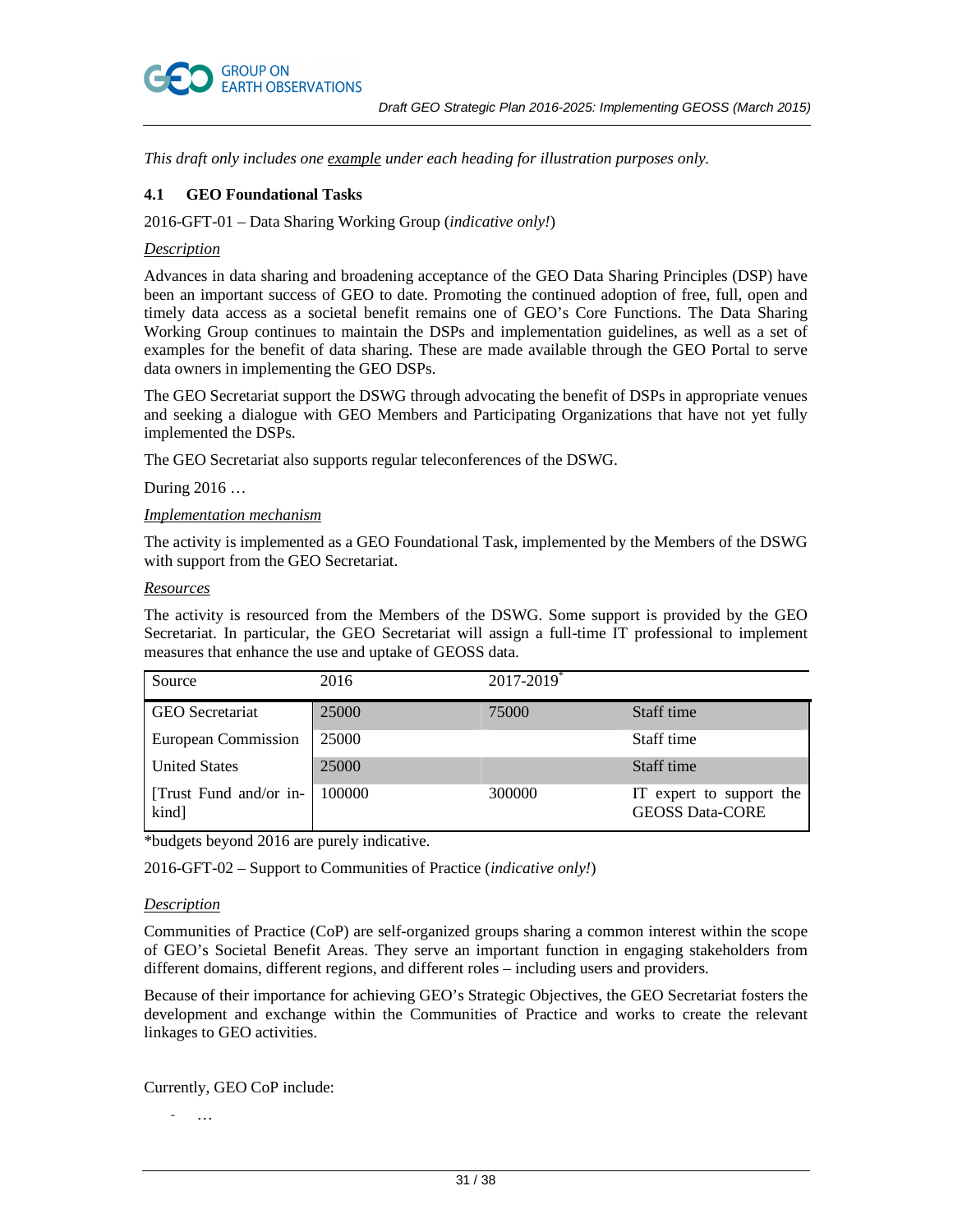

*This draft only includes one example under each heading for illustration purposes only.* 

# **4.1 GEO Foundational Tasks**

2016-GFT-01 – Data Sharing Working Group (*indicative only!*)

#### *Description*

Advances in data sharing and broadening acceptance of the GEO Data Sharing Principles (DSP) have been an important success of GEO to date. Promoting the continued adoption of free, full, open and timely data access as a societal benefit remains one of GEO's Core Functions. The Data Sharing Working Group continues to maintain the DSPs and implementation guidelines, as well as a set of examples for the benefit of data sharing. These are made available through the GEO Portal to serve data owners in implementing the GEO DSPs.

The GEO Secretariat support the DSWG through advocating the benefit of DSPs in appropriate venues and seeking a dialogue with GEO Members and Participating Organizations that have not yet fully implemented the DSPs.

The GEO Secretariat also supports regular teleconferences of the DSWG.

During 2016 …

# *Implementation mechanism*

The activity is implemented as a GEO Foundational Task, implemented by the Members of the DSWG with support from the GEO Secretariat.

#### *Resources*

The activity is resourced from the Members of the DSWG. Some support is provided by the GEO Secretariat. In particular, the GEO Secretariat will assign a full-time IT professional to implement measures that enhance the use and uptake of GEOSS data.

| Source                          | 2016   | $2017 - 2019$ <sup>*</sup> |                                                    |
|---------------------------------|--------|----------------------------|----------------------------------------------------|
| <b>GEO</b> Secretariat          | 25000  | 75000                      | Staff time                                         |
| European Commission             | 25000  |                            | Staff time                                         |
| <b>United States</b>            | 25000  |                            | Staff time                                         |
| [Trust Fund and/or in-<br>kind] | 100000 | 300000                     | IT expert to support the<br><b>GEOSS Data-CORE</b> |

\*budgets beyond 2016 are purely indicative.

2016-GFT-02 – Support to Communities of Practice (*indicative only!*)

# *Description*

Communities of Practice (CoP) are self-organized groups sharing a common interest within the scope of GEO's Societal Benefit Areas. They serve an important function in engaging stakeholders from different domains, different regions, and different roles – including users and providers.

Because of their importance for achieving GEO's Strategic Objectives, the GEO Secretariat fosters the development and exchange within the Communities of Practice and works to create the relevant linkages to GEO activities.

Currently, GEO CoP include:

 $\ddotsc$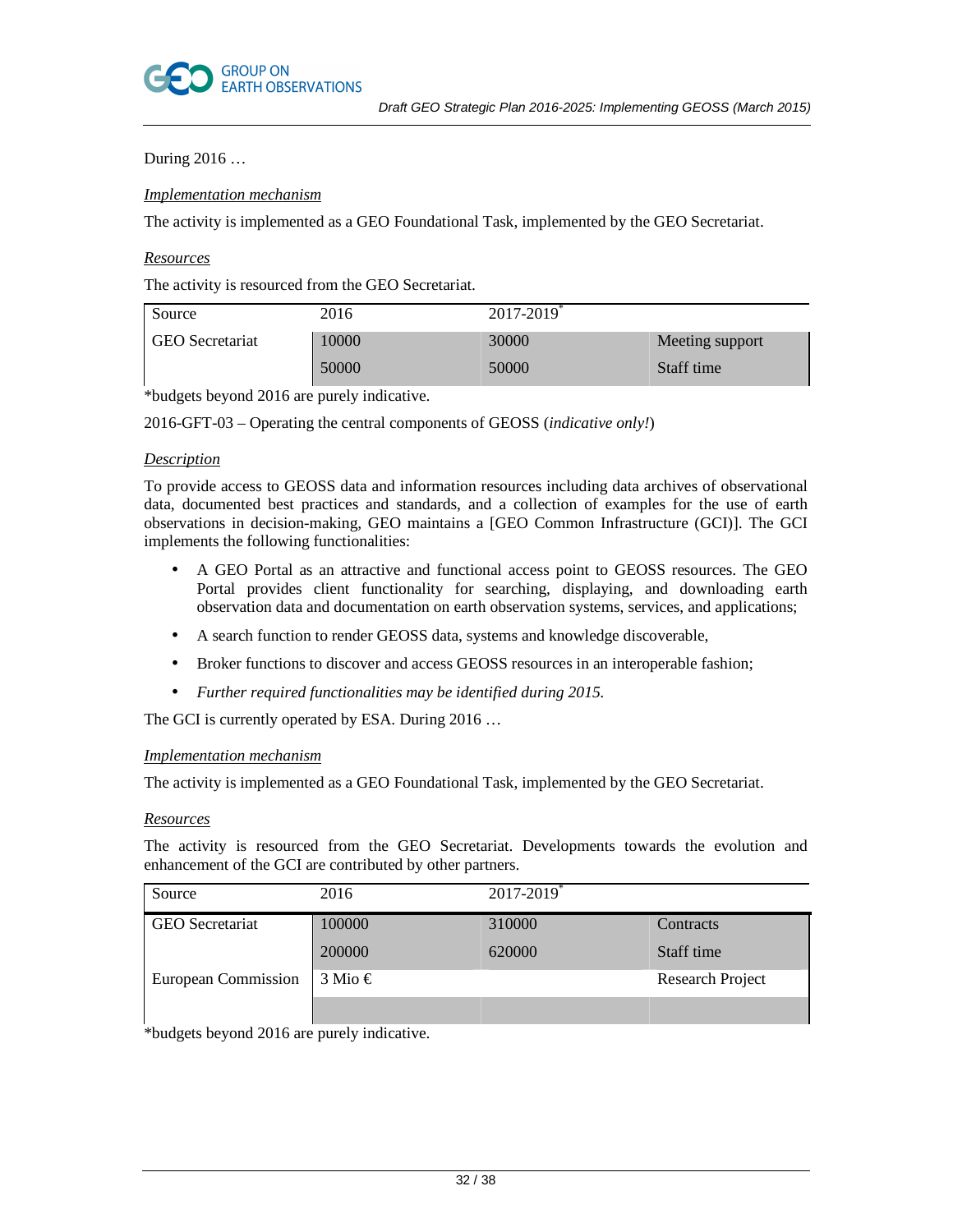

# During 2016 …

# *Implementation mechanism*

The activity is implemented as a GEO Foundational Task, implemented by the GEO Secretariat.

### *Resources*

The activity is resourced from the GEO Secretariat.

| Source                 | 2016  | $2017 - 2019$ <sup>*</sup> |                 |
|------------------------|-------|----------------------------|-----------------|
| <b>GEO</b> Secretariat | 10000 | 30000                      | Meeting support |
|                        | 50000 | 50000                      | Staff time      |

\*budgets beyond 2016 are purely indicative.

2016-GFT-03 – Operating the central components of GEOSS (*indicative only!*)

# *Description*

To provide access to GEOSS data and information resources including data archives of observational data, documented best practices and standards, and a collection of examples for the use of earth observations in decision-making, GEO maintains a [GEO Common Infrastructure (GCI)]. The GCI implements the following functionalities:

- A GEO Portal as an attractive and functional access point to GEOSS resources. The GEO Portal provides client functionality for searching, displaying, and downloading earth observation data and documentation on earth observation systems, services, and applications;
- A search function to render GEOSS data, systems and knowledge discoverable,
- Broker functions to discover and access GEOSS resources in an interoperable fashion;
- *Further required functionalities may be identified during 2015.*

The GCI is currently operated by ESA. During 2016 ...

# *Implementation mechanism*

The activity is implemented as a GEO Foundational Task, implemented by the GEO Secretariat.

#### *Resources*

The activity is resourced from the GEO Secretariat. Developments towards the evolution and enhancement of the GCI are contributed by other partners.

| Source                   | 2016                                       | $2017 - 2019$ <sup>*</sup> |                         |
|--------------------------|--------------------------------------------|----------------------------|-------------------------|
| <b>GEO</b> Secretariat   | 100000                                     | 310000                     | Contracts               |
|                          | 200000                                     | 620000                     | Staff time              |
| European Commission      | $3$ Mio $\in$                              |                            | <b>Research Project</b> |
| $-1.1$ $1$ $1$<br>1.0012 | $\mathbf{1}$ , $\mathbf{1}$ , $\mathbf{1}$ |                            |                         |

\*budgets beyond 2016 are purely indicative.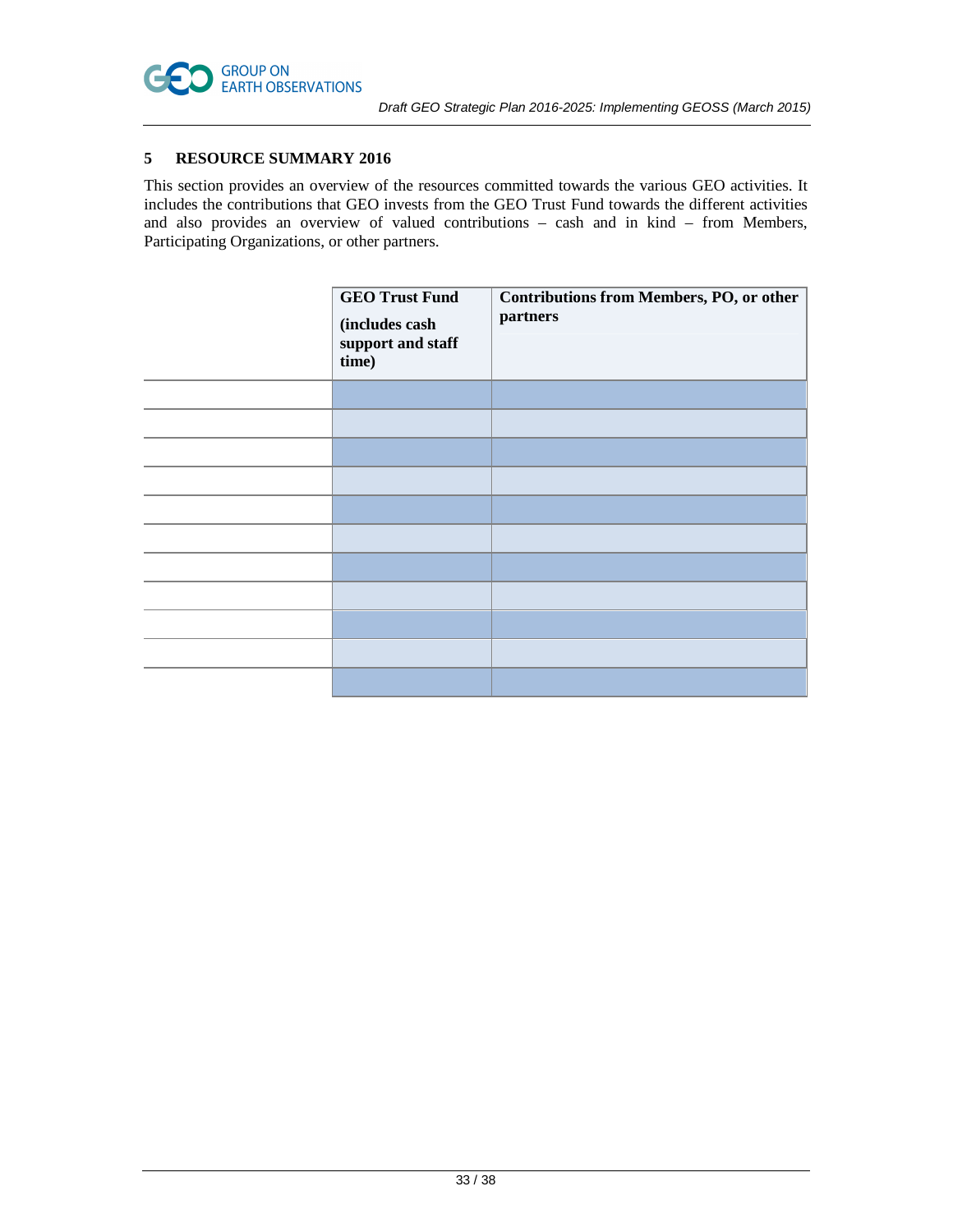

# **5 RESOURCE SUMMARY 2016**

This section provides an overview of the resources committed towards the various GEO activities. It includes the contributions that GEO invests from the GEO Trust Fund towards the different activities and also provides an overview of valued contributions – cash and in kind – from Members, Participating Organizations, or other partners.

| <b>GEO Trust Fund</b><br>(includes cash<br>support and staff<br>time) | Contributions from Members, PO, or other<br>partners |
|-----------------------------------------------------------------------|------------------------------------------------------|
|                                                                       |                                                      |
|                                                                       |                                                      |
|                                                                       |                                                      |
|                                                                       |                                                      |
|                                                                       |                                                      |
|                                                                       |                                                      |
|                                                                       |                                                      |
|                                                                       |                                                      |
|                                                                       |                                                      |
|                                                                       |                                                      |
|                                                                       |                                                      |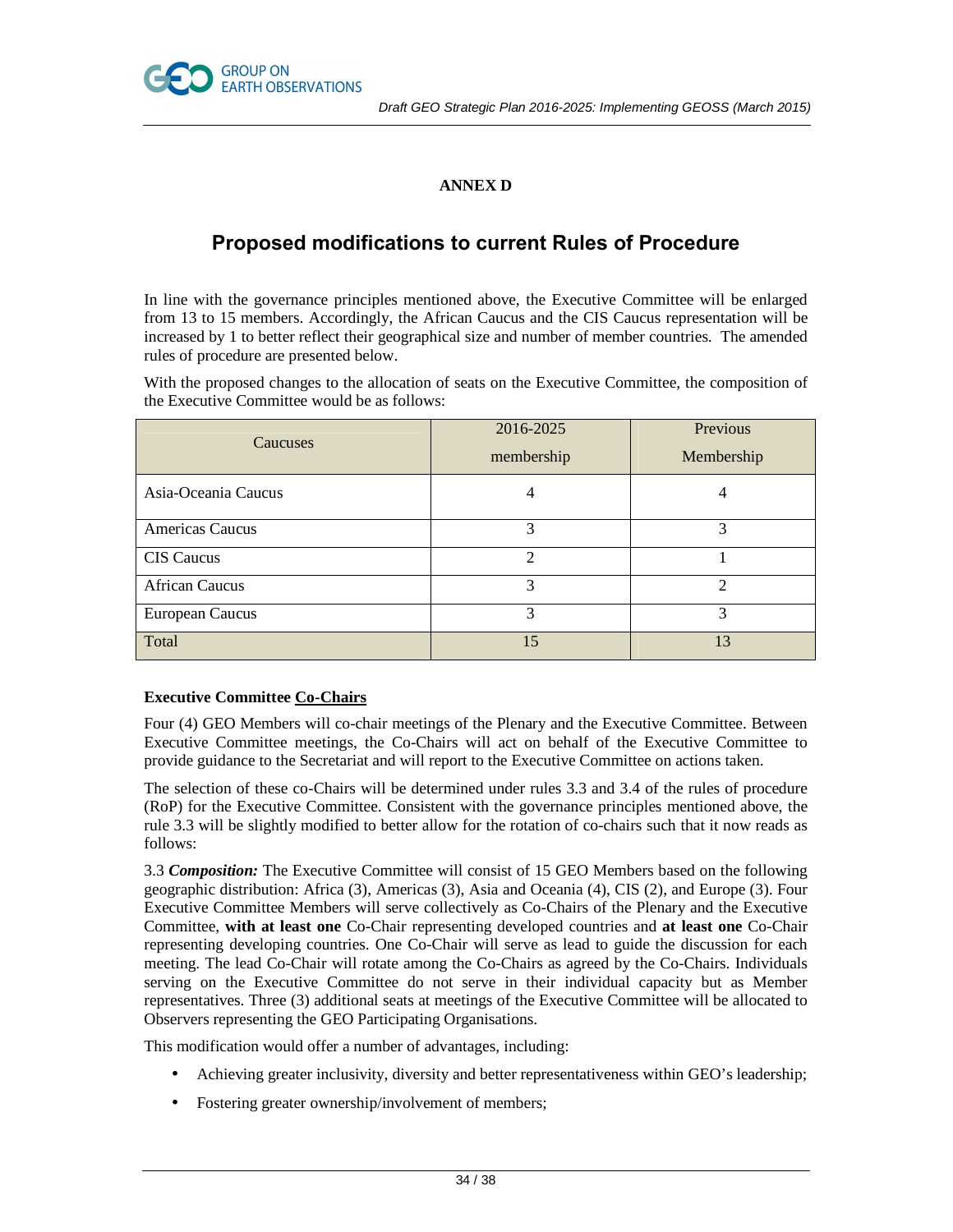



# **ANNEX D**

# **Proposed modifications to current Rules of Procedure**

In line with the governance principles mentioned above, the Executive Committee will be enlarged from 13 to 15 members. Accordingly, the African Caucus and the CIS Caucus representation will be increased by 1 to better reflect their geographical size and number of member countries. The amended rules of procedure are presented below.

With the proposed changes to the allocation of seats on the Executive Committee, the composition of the Executive Committee would be as follows:

| <b>Caucuses</b>        | 2016-2025<br>membership     | Previous<br>Membership |
|------------------------|-----------------------------|------------------------|
| Asia-Oceania Caucus    |                             | 4                      |
| Americas Caucus        | 3                           | 3                      |
| <b>CIS</b> Caucus      | $\mathcal{D}_{\mathcal{L}}$ |                        |
| <b>African Caucus</b>  | 3                           | ↑                      |
| <b>European Caucus</b> | 3                           | 3                      |
| Total                  | 15                          | 13                     |

# **Executive Committee Co-Chairs**

Four (4) GEO Members will co-chair meetings of the Plenary and the Executive Committee. Between Executive Committee meetings, the Co-Chairs will act on behalf of the Executive Committee to provide guidance to the Secretariat and will report to the Executive Committee on actions taken.

The selection of these co-Chairs will be determined under rules 3.3 and 3.4 of the rules of procedure (RoP) for the Executive Committee. Consistent with the governance principles mentioned above, the rule 3.3 will be slightly modified to better allow for the rotation of co-chairs such that it now reads as follows:

3.3 *Composition:* The Executive Committee will consist of 15 GEO Members based on the following geographic distribution: Africa (3), Americas (3), Asia and Oceania (4), CIS (2), and Europe (3). Four Executive Committee Members will serve collectively as Co-Chairs of the Plenary and the Executive Committee, **with at least one** Co-Chair representing developed countries and **at least one** Co-Chair representing developing countries. One Co-Chair will serve as lead to guide the discussion for each meeting. The lead Co-Chair will rotate among the Co-Chairs as agreed by the Co-Chairs. Individuals serving on the Executive Committee do not serve in their individual capacity but as Member representatives. Three (3) additional seats at meetings of the Executive Committee will be allocated to Observers representing the GEO Participating Organisations.

This modification would offer a number of advantages, including:

- Achieving greater inclusivity, diversity and better representativeness within GEO's leadership;
- Fostering greater ownership/involvement of members;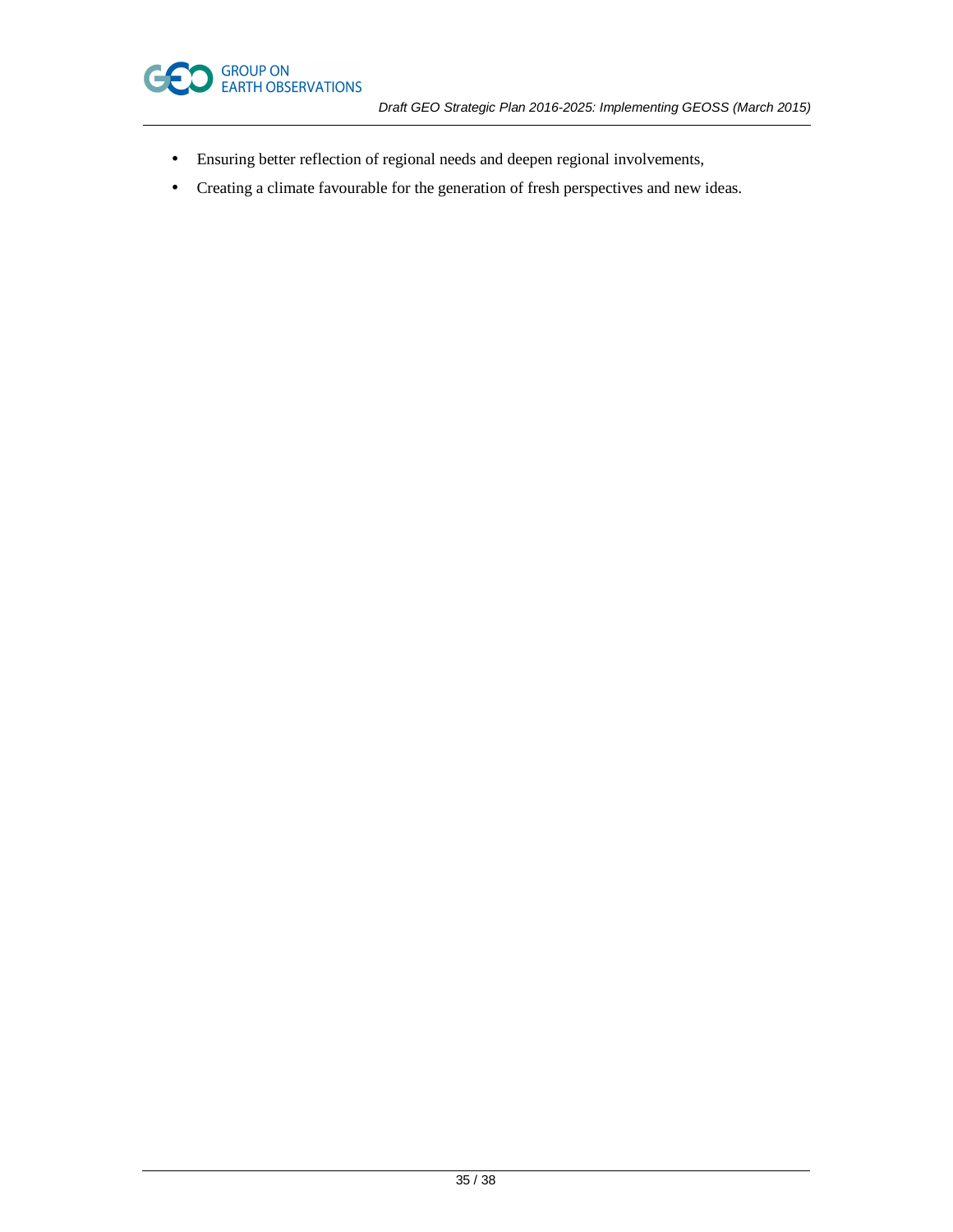

- Ensuring better reflection of regional needs and deepen regional involvements,
- Creating a climate favourable for the generation of fresh perspectives and new ideas.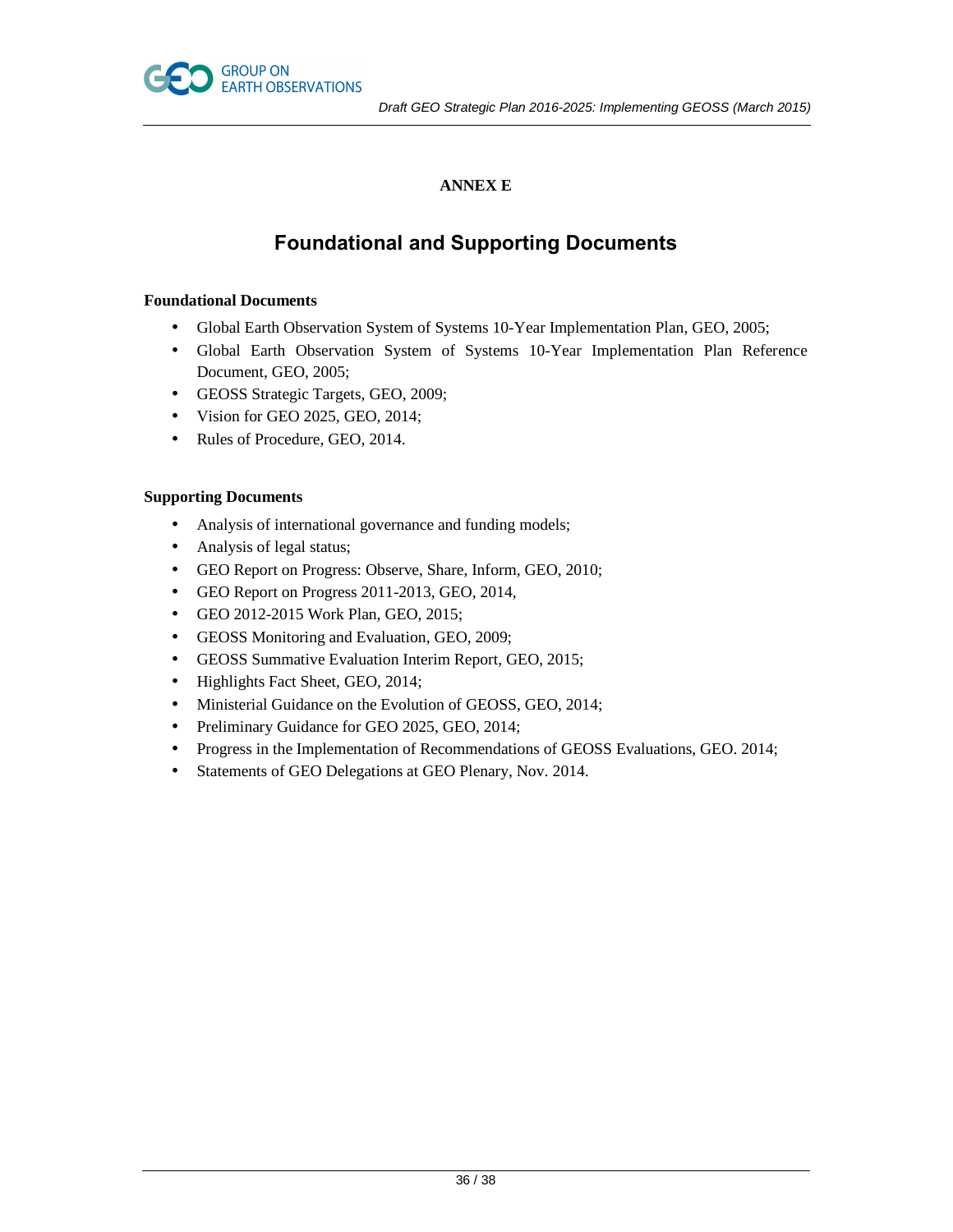

# **ANNEX E**

# **Foundational and Supporting Documents**

# **Foundational Documents**

- Global Earth Observation System of Systems 10-Year Implementation Plan, GEO, 2005;
- Global Earth Observation System of Systems 10-Year Implementation Plan Reference Document, GEO, 2005;
- GEOSS Strategic Targets, GEO, 2009;
- Vision for GEO 2025, GEO, 2014;
- Rules of Procedure, GEO, 2014.

# **Supporting Documents**

- Analysis of international governance and funding models;
- Analysis of legal status;
- GEO Report on Progress: Observe, Share, Inform, GEO, 2010;
- GEO Report on Progress 2011-2013, GEO, 2014,
- GEO 2012-2015 Work Plan, GEO, 2015;
- GEOSS Monitoring and Evaluation, GEO, 2009;
- GEOSS Summative Evaluation Interim Report, GEO, 2015;
- Highlights Fact Sheet, GEO, 2014;
- Ministerial Guidance on the Evolution of GEOSS, GEO, 2014;
- Preliminary Guidance for GEO 2025, GEO, 2014;
- Progress in the Implementation of Recommendations of GEOSS Evaluations, GEO. 2014;
- Statements of GEO Delegations at GEO Plenary, Nov. 2014.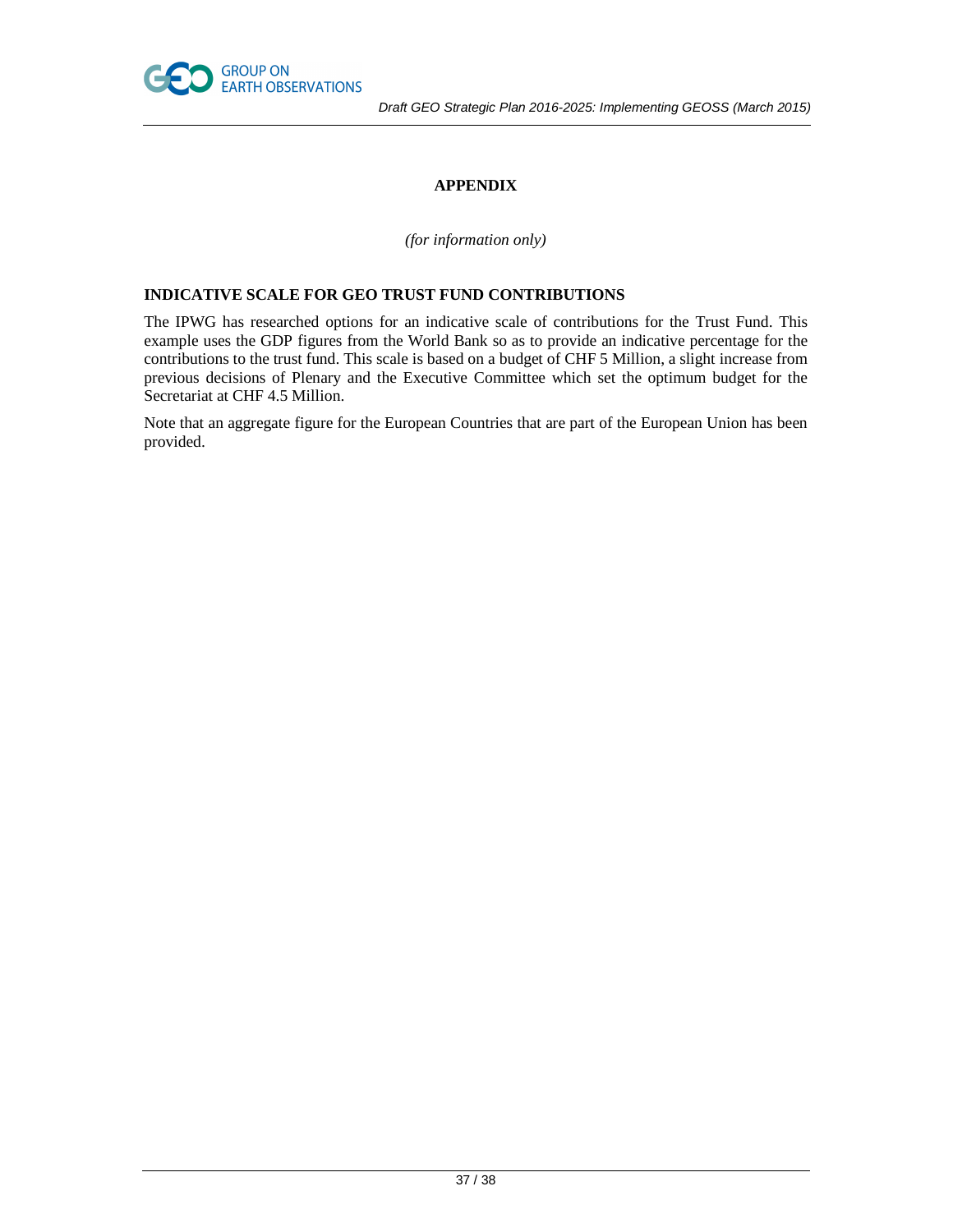

# **APPENDIX**

*(for information only)* 

# **INDICATIVE SCALE FOR GEO TRUST FUND CONTRIBUTIONS**

The IPWG has researched options for an indicative scale of contributions for the Trust Fund. This example uses the GDP figures from the World Bank so as to provide an indicative percentage for the contributions to the trust fund. This scale is based on a budget of CHF 5 Million, a slight increase from previous decisions of Plenary and the Executive Committee which set the optimum budget for the Secretariat at CHF 4.5 Million.

Note that an aggregate figure for the European Countries that are part of the European Union has been provided.